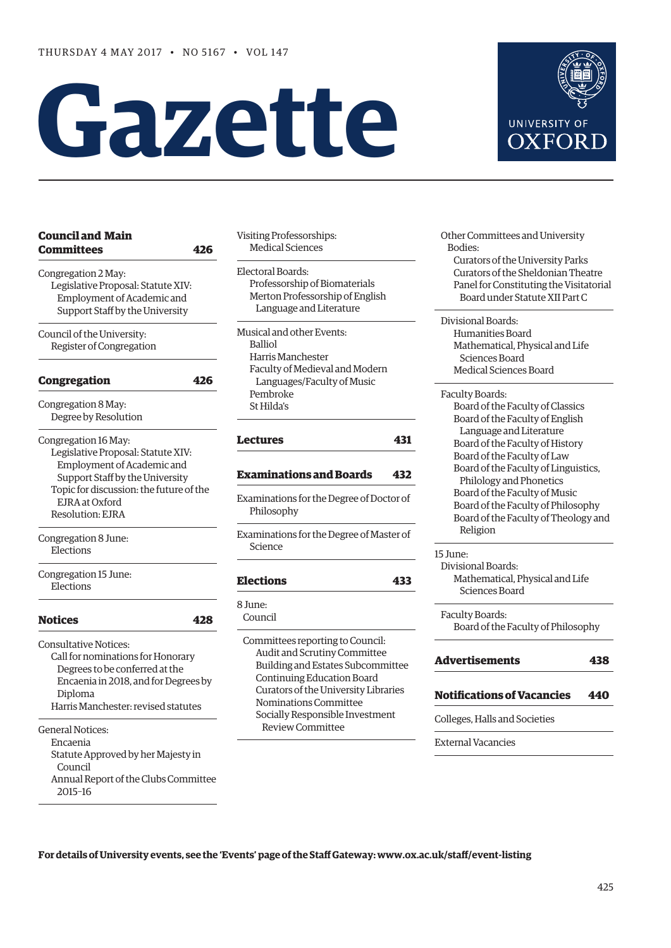# **Gazette**



| <b>Council and Main</b><br>Committees                                                                                                                                                                               | 426 |
|---------------------------------------------------------------------------------------------------------------------------------------------------------------------------------------------------------------------|-----|
| Congregation 2 May:<br>Legislative Proposal: Statute XIV:<br>Employment of Academic and<br>Support Staff by the University                                                                                          |     |
| Council of the University:<br>Register of Congregation                                                                                                                                                              |     |
| <b>Congregation</b>                                                                                                                                                                                                 | 426 |
| Congregation 8 May:<br>Degree by Resolution                                                                                                                                                                         |     |
| Congregation 16 May:<br>Legislative Proposal: Statute XIV:<br>Employment of Academic and<br>Support Staff by the University<br>Topic for discussion: the future of the<br>EJRA at Oxford<br><b>Resolution: EJRA</b> |     |
| Congregation 8 June:<br>Elections                                                                                                                                                                                   |     |
| Congregation 15 June:<br>Elections                                                                                                                                                                                  |     |
| <b>Notices</b>                                                                                                                                                                                                      | 428 |
| <b>Consultative Notices:</b><br>Call for nominations for Honorary<br>Degrees to be conferred at the<br>Encaenia in 2018, and for Degrees by<br>Diploma<br>Harris Manchester: revised statutes                       |     |
| General Notices:<br>Encaenia<br>Statute Approved by her Majesty in<br>Council<br>Annual Report of the Clubs Committee<br>2015-16                                                                                    |     |

Electoral Boards: Professorship of Biomaterials Merton Professorship of English Language and Literature

Visiting Professorships: Medical Sciences

Musical and other Events: Balliol Harris Manchester Faculty of Medieval and Modern Languages/Faculty of Music Pembroke St Hilda's

```
Lectures 431
```
### **[Examinations and Boards](#page-7-0) 432**

Examinations for the Degree of Doctor of Philosophy

Examinations for the Degree of Master of Science

```
8 June:
Council
```
 Committees reporting to Council: Audit and Scrutiny Committee Building and Estates Subcommittee Continuing Education Board Curators of the University Libraries Nominations Committee Socially Responsible Investment Review Committee

 Other Committees and University Bodies: Curators of the University Parks Curators of the Sheldonian Theatre Panel for Constituting the Visitatorial Board under Statute XII Part C

 Divisional Boards: Humanities Board Mathematical, Physical and Life Sciences Board Medical Sciences Board

## Faculty Boards:

 Board of the Faculty of Classics Board of the Faculty of English Language and Literature Board of the Faculty of History Board of the Faculty of Law Board of the Faculty of Linguistics, Philology and Phonetics Board of the Faculty of Music Board of the Faculty of Philosophy Board of the Faculty of Theology and Religion

#### 15 June:

 Divisional Boards: Mathematical, Physical and Life Sciences Board

 Faculty Boards: Board of the Faculty of Philosophy

```
Advertisements 438
```
**[Notifications of Vacancies 440](#page-15-0)**

Colleges, Halls and Societies

External Vacancies

**For details of University events, see the 'Events' page of the Staff Gateway: [www.ox.ac.uk/staff/event-listing](http://www.ox.ac.uk/staff/event-listing)**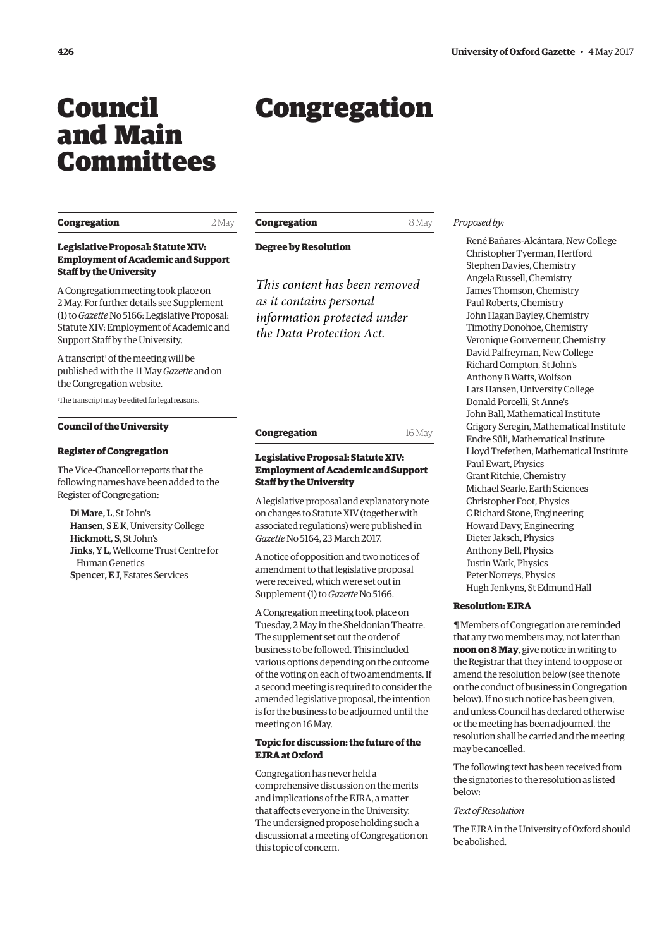# <span id="page-1-0"></span>Council and Main Committees

# Congregation

#### **Congregation** 2 May

**Legislative Proposal: Statute XIV: Employment of Academic and Support Staff by the University**

A Congregation meeting took place on 2 May. For further details see Supplement (1) to *Gazette* No 5166: Legislative Proposal: [Statute XIV: Employment of Academic and](http://www.ox.ac.uk/media/global/wwwoxacuk/localsites/gazette/documents/supplements2016-17/Legislative_Proposal,_Statute_XIV_-_(1)_to_No_5166.pdf)  Support Staff by the University.

A transcript<sup>1</sup> of the meeting will be published with the 11 May *Gazette* and on the Congregation website.

1 The transcript may be edited for legal reasons.

#### **Council of the University**

#### **Register of Congregation**

The Vice-Chancellor reports that the following names have been added to the Register of Congregation:

Di Mare, L, St John's Hansen, S E K, University College Hickmott, S, St John's Jinks, Y L, Wellcome Trust Centre for Human Genetics Spencer, E J, Estates Services

#### **Congregation** 8 May

#### **Degree by Resolution**

*This content has been removed as it contains personal information protected under the Data Protection Act.*

#### **Congregation** 16 May

#### **Legislative Proposal: Statute XIV: Employment of Academic and Support Staff by the University**

A legislative proposal and explanatory note on changes to Statute XIV (together with associated regulations) were published in *Gazette* [No 5164, 23 March 2017](http://www.ox.ac.uk/gazette/2016-2017/23march2017-no5164/congregation/#250401).

A notice of opposition and two notices of amendment to that legislative proposal were received, which were set out in [Supplement \(1\) to](http://www.ox.ac.uk/media/global/wwwoxacuk/localsites/gazette/documents/supplements2016-17/Legislative_Proposal,_Statute_XIV_-_(1)_to_No_5166.pdf) *Gazette* No 5166.

A Congregation meeting took place on Tuesday, 2 May in the Sheldonian Theatre. The supplement set out the order of business to be followed. This included various options depending on the outcome of the voting on each of two amendments. If a second meeting is required to consider the amended legislative proposal, the intention is for the business to be adjourned until the meeting on 16 May.

#### **Topic for discussion: the future of the EJRA at Oxford**

Congregation has never held a comprehensive discussion on the merits and implications of the EJRA, a matter that affects everyone in the University. The undersigned propose holding such a discussion at a meeting of Congregation on this topic of concern.

#### *Proposed by:*

René Bañares-Alcántara, New College Christopher Tyerman, Hertford Stephen Davies, Chemistry Angela Russell, Chemistry James Thomson, Chemistry Paul Roberts, Chemistry John Hagan Bayley, Chemistry Timothy Donohoe, Chemistry Veronique Gouverneur, Chemistry David Palfreyman, New College Richard Compton, St John's Anthony B Watts, Wolfson Lars Hansen, University College Donald Porcelli, St Anne's John Ball, Mathematical Institute Grigory Seregin, Mathematical Institute Endre Süli, Mathematical Institute Lloyd Trefethen, Mathematical Institute Paul Ewart, Physics Grant Ritchie, Chemistry Michael Searle, Earth Sciences Christopher Foot, Physics C Richard Stone, Engineering Howard Davy, Engineering Dieter Jaksch, Physics Anthony Bell, Physics Justin Wark, Physics Peter Norreys, Physics Hugh Jenkyns, St Edmund Hall

#### **Resolution: EJRA**

¶ Members of Congregation are reminded that any two members may, not later than **noon on 8 May**, give notice in writing to the Registrar that they intend to oppose or amend the resolution below (see the note on the conduct of business in Congregation below). If no such notice has been given, and unless Council has declared otherwise or the meeting has been adjourned, the resolution shall be carried and the meeting may be cancelled.

The following text has been received from the signatories to the resolution as listed below:

#### *Text of Resolution*

The EJRA in the University of Oxford should be abolished.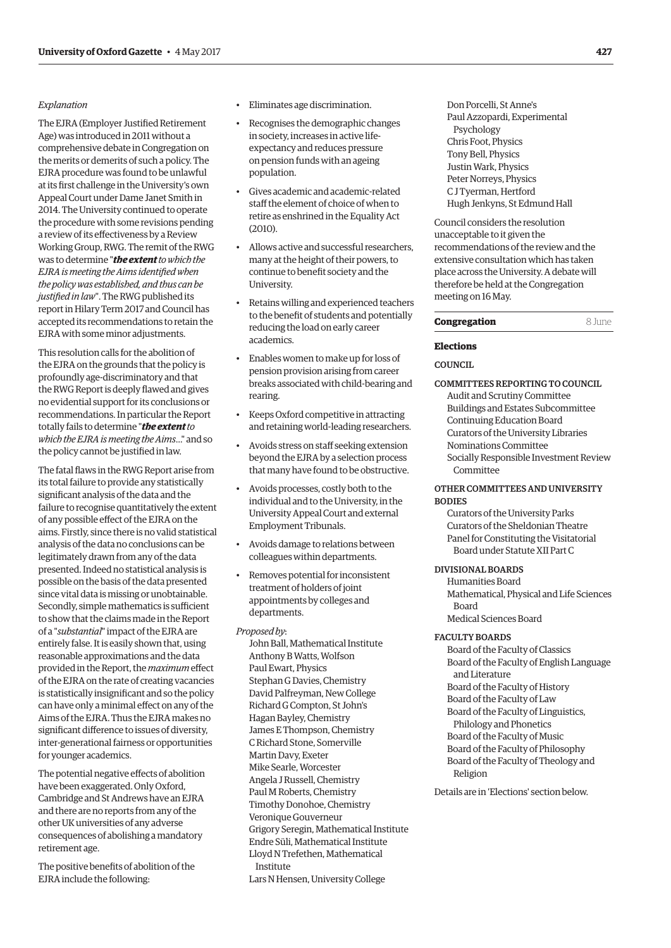#### *Explanation*

The EJRA (Employer Justified Retirement Age) was introduced in 2011 without a comprehensive debate in Congregation on the merits or demerits of such a policy. The EJRA procedure was found to be unlawful at its first challenge in the University's own Appeal Court under Dame Janet Smith in 2014. The University continued to operate the procedure with some revisions pending a review of its effectiveness by a Review Working Group, RWG. The remit of the RWG was to determine "*the extent to which the EJRA is meeting the Aims identified when the policy was established, and thus can be justified in law*". The RWG published its report in Hilary Term 2017 and Council has accepted its recommendations to retain the EJRA with some minor adjustments.

This resolution calls for the abolition of the EJRA on the grounds that the policy is profoundly age-discriminatory and that the RWG Report is deeply flawed and gives no evidential support for its conclusions or recommendations. In particular the Report totally fails to determine "*the extent to which the EJRA is meeting the Aims*…" and so the policy cannot be justified in law.

The fatal flaws in the RWG Report arise from its total failure to provide any statistically significant analysis of the data and the failure to recognise quantitatively the extent of any possible effect of the EJRA on the aims. Firstly, since there is no valid statistical analysis of the data no conclusions can be legitimately drawn from any of the data presented. Indeed no statistical analysis is possible on the basis of the data presented since vital data is missing or unobtainable. Secondly, simple mathematics is sufficient to show that the claims made in the Report of a "*substantial*" impact of the EJRA are entirely false. It is easily shown that, using reasonable approximations and the data provided in the Report, the *maximum* effect of the EJRA on the rate of creating vacancies is statistically insignificant and so the policy can have only a minimal effect on any of the Aims of the EJRA. Thus the EJRA makes no significant difference to issues of diversity, inter-generational fairness or opportunities for younger academics.

The potential negative effects of abolition have been exaggerated. Only Oxford, Cambridge and St Andrews have an EJRA and there are no reports from any of the other UK universities of any adverse consequences of abolishing a mandatory retirement age.

The positive benefits of abolition of the EJRA include the following:

- Eliminates age discrimination.
- Recognises the demographic changes in society, increases in active lifeexpectancy and reduces pressure on pension funds with an ageing population.
- Gives academic and academic-related staff the element of choice of when to retire as enshrined in the Equality Act (2010).
- Allows active and successful researchers, many at the height of their powers, to continue to benefit society and the University.
- Retains willing and experienced teachers to the benefit of students and potentially reducing the load on early career academics.
- Enables women to make up for loss of pension provision arising from career breaks associated with child-bearing and rearing.
- Keeps Oxford competitive in attracting and retaining world-leading researchers.
- Avoids stress on staff seeking extension beyond the EJRA by a selection process that many have found to be obstructive.
- Avoids processes, costly both to the individual and to the University, in the University Appeal Court and external Employment Tribunals.
- Avoids damage to relations between colleagues within departments.
- Removes potential for inconsistent treatment of holders of joint appointments by colleges and departments.
- *Proposed by*: John Ball, Mathematical Institute Anthony B Watts, Wolfson Paul Ewart, Physics Stephan G Davies, Chemistry David Palfreyman, New College Richard G Compton, St John's Hagan Bayley, Chemistry James E Thompson, Chemistry C Richard Stone, Somerville Martin Davy, Exeter Mike Searle, Worcester Angela J Russell, Chemistry Paul M Roberts, Chemistry Timothy Donohoe, Chemistry Veronique Gouverneur Grigory Seregin, Mathematical Institute Endre Süli, Mathematical Institute Lloyd N Trefethen, Mathematical Institute Lars N Hensen, University College

Don Porcelli, St Anne's Paul Azzopardi, Experimental Psychology Chris Foot, Physics Tony Bell, Physics Justin Wark, Physics Peter Norreys, Physics C J Tyerman, Hertford Hugh Jenkyns, St Edmund Hall

Council considers the resolution unacceptable to it given the recommendations of the review and the extensive consultation which has taken place across the University. A debate will therefore be held at the Congregation meeting on 16 May.

#### **Congregation** 8 June

#### **Elections**

#### **COUNCIL**

COMMITTEES REPORTING TO COUNCIL Audit and Scrutiny Committee Buildings and Estates Subcommittee Continuing Education Board Curators of the University Libraries Nominations Committee Socially Responsible Investment Review **Committee** 

#### OTHER COMMITTEES AND UNIVERSITY **BODIES**

Curators of the University Parks Curators of the Sheldonian Theatre Panel for Constituting the Visitatorial Board under Statute XII Part C

#### DIVISIONAL BOARDS

Humanities Board Mathematical, Physical and Life Sciences Board Medical Sciences Board

#### FACULTY BOARDS

Board of the Faculty of Classics Board of the Faculty of English Language and Literature Board of the Faculty of History Board of the Faculty of Law Board of the Faculty of Linguistics, Philology and Phonetics Board of the Faculty of Music Board of the Faculty of Philosophy Board of the Faculty of Theology and Religion

Details are in ['Elections](#page-8-0)' section below.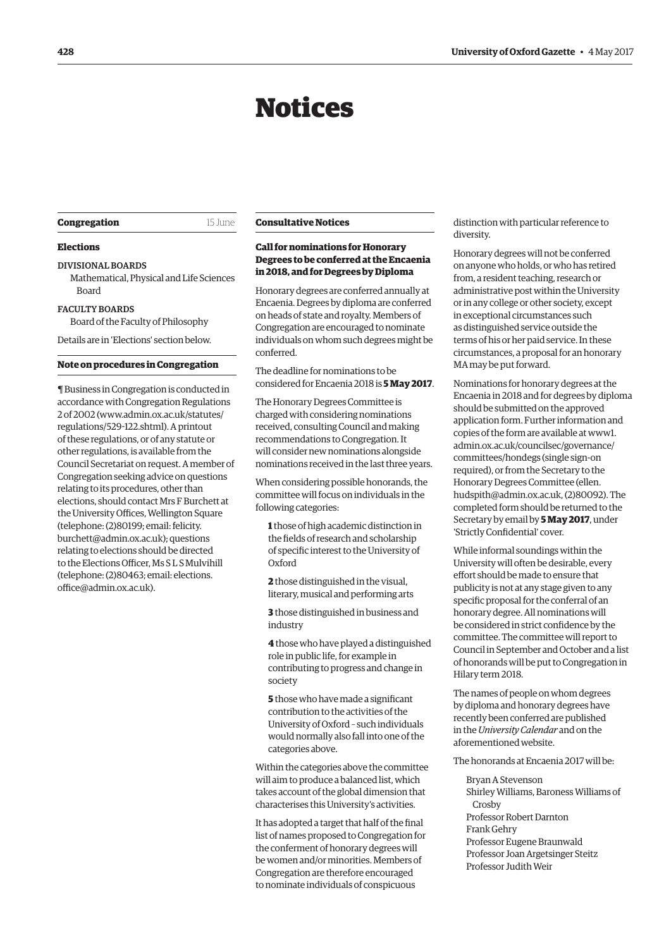## Notices

#### <span id="page-3-0"></span>**Congregation** 15 June

#### **Elections**

DIVISIONAL BOARDS

Mathematical, Physical and Life Sciences Board

#### FACULTY BOARDS

Board of the Faculty of Philosophy

Details are in '[Elections'](#page-12-0) section below.

#### **Note on procedures in Congregation**

¶ Business in Congregation is conducted in accordance with Congregation Regulations 2 of 2002 [\(www.admin.ox.ac.uk/statutes/](http://www.admin.ox.ac.uk/statutes/regulations/529-122.shtml) [regulations/529-122.shtml\). A](http://www.admin.ox.ac.uk/statutes/regulations/529-122.shtml) printout of these regulations, or of any statute or other regulations, is available from the Council Secretariat on request. A member of Congregation seeking advice on questions relating to its procedures, other than elections, should contact Mrs F Burchett at the University Offices, Wellington Square (telephone: (2)80199; email: felicity. [burchett@admin.ox.ac.uk\); questions](mailto:felicity.burchett@admin.ox.ac.uk)  relating to elections should be directed to the Elections Officer, Ms S L S Mulvihill [\(telephone: \(2\)80463; email: elections.](mailto:elections.office@admin.ox.ac.uk) office@admin.ox.ac.uk).

#### **Consultative Notices**

#### **Call for nominations for Honorary Degrees to be conferred at the Encaenia in 2018, and for Degrees by Diploma**

Honorary degrees are conferred annually at Encaenia. Degrees by diploma are conferred on heads of state and royalty. Members of Congregation are encouraged to nominate individuals on whom such degrees might be conferred.

The deadline for nominations to be considered for Encaenia 2018 is **5 May 2017**.

The Honorary Degrees Committee is charged with considering nominations received, consulting Council and making recommendations to Congregation. It will consider new nominations alongside nominations received in the last three years.

When considering possible honorands, the committee will focus on individuals in the following categories:

**1** those of high academic distinction in the fields of research and scholarship of specific interest to the University of Oxford

**2** those distinguished in the visual, literary, musical and performing arts

**3** those distinguished in business and industry

**4** those who have played a distinguished role in public life, for example in contributing to progress and change in society

**5** those who have made a significant contribution to the activities of the University of Oxford – such individuals would normally also fall into one of the categories above.

Within the categories above the committee will aim to produce a balanced list, which takes account of the global dimension that characterises this University's activities.

It has adopted a target that half of the final list of names proposed to Congregation for the conferment of honorary degrees will be women and/or minorities. Members of Congregation are therefore encouraged to nominate individuals of conspicuous

distinction with particular reference to diversity.

Honorary degrees will not be conferred on anyone who holds, or who has retired from, a resident teaching, research or administrative post within the University or in any college or other society, except in exceptional circumstances such as distinguished service outside the terms of his or her paid service. In these circumstances, a proposal for an honorary MA may be put forward.

Nominations for honorary degrees at the Encaenia in 2018 and for degrees by diploma should be submitted on the approved application form. Further information and [copies of the form are available at www1.](https://www1.admin.ox.ac.uk/councilsec/governance/committees/hondegs) admin.ox.ac.uk/councilsec/governance/ committees/hondegs (single sign-on required), or from the Secretary to the Honorary Degrees Committee (ellen. [hudspith@admin.ox.ac.uk, \(2\)80092\). The](mailto:ellen.hudspith@admin.ox.ac.uk)  completed form should be returned to the Secretary by email by **5 May 2017**, under 'Strictly Confidential' cover.

While informal soundings within the University will often be desirable, every effort should be made to ensure that publicity is not at any stage given to any specific proposal for the conferral of an honorary degree. All nominations will be considered in strict confidence by the committee. The committee will report to Council in September and October and a list of honorands will be put to Congregation in Hilary term 2018.

The names of people on whom degrees by diploma and honorary degrees have recently been conferred are published in the *University Calendar* and on the aforementioned website.

The honorands at Encaenia 2017 will be:

Bryan A Stevenson Shirley Williams, Baroness Williams of Crosby Professor Robert Darnton Frank Gehry Professor Eugene Braunwald Professor Joan Argetsinger Steitz Professor Judith Weir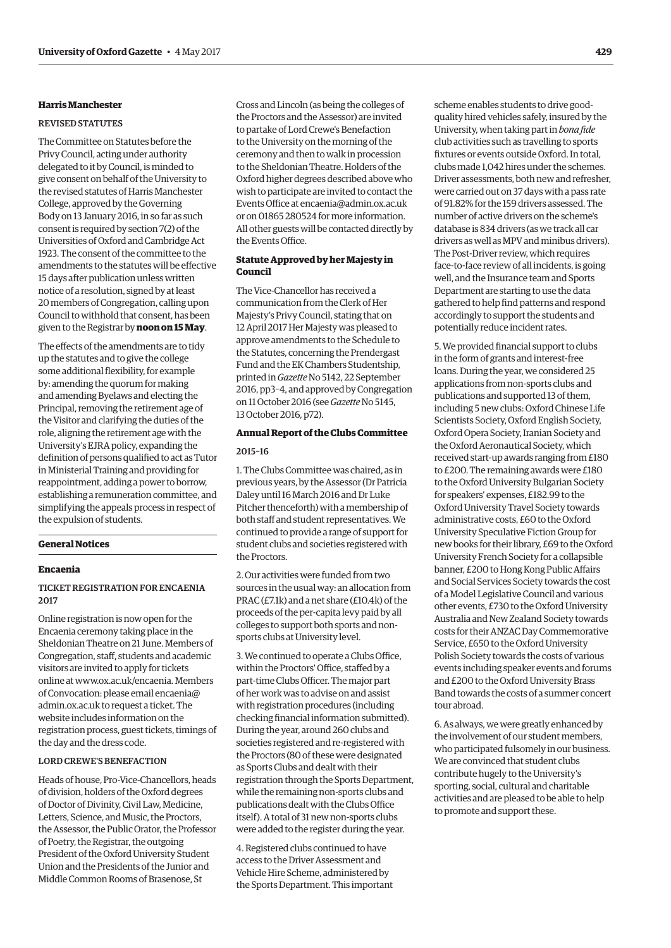#### **Harris Manchester**

#### REVISED STATUTES

The Committee on Statutes before the Privy Council, acting under authority delegated to it by Council, is minded to give consent on behalf of the University to the revised statutes of Harris Manchester College, approved by the Governing Body on 13 January 2016, in so far as such consent is required by section 7(2) of the Universities of Oxford and Cambridge Act 1923. The consent of the committee to the amendments to the statutes will be effective 15 days after publication unless written notice of a resolution, signed by at least 20 members of Congregation, calling upon Council to withhold that consent, has been given to the Registrar by **noon on 15 May**.

The effects of the amendments are to tidy up the statutes and to give the college some additional flexibility, for example by: amending the quorum for making and amending Byelaws and electing the Principal, removing the retirement age of the Visitor and clarifying the duties of the role, aligning the retirement age with the University's EJRA policy, expanding the definition of persons qualified to act as Tutor in Ministerial Training and providing for reappointment, adding a power to borrow, establishing a remuneration committee, and simplifying the appeals process in respect of the expulsion of students.

#### **General Notices**

#### **Encaenia**

#### TICKET REGISTRATION FOR ENCAENIA 2017

Online registration is now open for the Encaenia ceremony taking place in the Sheldonian Theatre on 21 June. Members of Congregation, staff, students and academic visitors are invited to apply for tickets online at [www.ox.ac.uk/encaenia. M](http://www.ox.ac.uk/encaenia)embers [of Convocation: please email encaenia@](mailto:encaenia@admin.ox.ac.uk) admin.ox.ac.uk to request a ticket. The website includes information on the registration process, guest tickets, timings of the day and the dress code.

#### LORD CREWE'S BENEFACTION

Heads of house, Pro-Vice-Chancellors, heads of division, holders of the Oxford degrees of Doctor of Divinity, Civil Law, Medicine, Letters, Science, and Music, the Proctors, the Assessor, the Public Orator, the Professor of Poetry, the Registrar, the outgoing President of the Oxford University Student Union and the Presidents of the Junior and Middle Common Rooms of Brasenose, St

Cross and Lincoln (as being the colleges of the Proctors and the Assessor) are invited to partake of Lord Crewe's Benefaction to the University on the morning of the ceremony and then to walk in procession to the Sheldonian Theatre. Holders of the Oxford higher degrees described above who wish to participate are invited to contact the Events Office at [encaenia@admin.ox.ac.uk](mailto:encaenia@admin.ox.ac.uk)  or on 01865 280524 for more information. All other guests will be contacted directly by the Events Office.

#### **Statute Approved by her Majesty in Council**

The Vice-Chancellor has received a communication from the Clerk of Her Majesty's Privy Council, stating that on 12 April 2017 Her Majesty was pleased to approve amendments to the Schedule to the Statutes, concerning the Prendergast Fund and the EK Chambers Studentship, printed in *Gazette* [No 5142, 22 September](http://www.ox.ac.uk/gazette/2016-2017/22september2016-no5142/congregation/#cong2)  [2016, pp3–4,](http://www.ox.ac.uk/gazette/2016-2017/22september2016-no5142/congregation/#cong2) and approved by Congregation on 11 October 2016 (see *Gazette* [No 5145,](http://www.ox.ac.uk/gazette/2016-2017/13october2016-no5145/councilandmaincommittees/#243236)  [13 October 2016, p72](http://www.ox.ac.uk/gazette/2016-2017/13october2016-no5145/councilandmaincommittees/#243236)).

## **Annual Report of the Clubs Committee**

## 2015–16

1. The Clubs Committee was chaired, as in previous years, by the Assessor (Dr Patricia Daley until 16 March 2016 and Dr Luke Pitcher thenceforth) with a membership of both staff and student representatives. We continued to provide a range of support for student clubs and societies registered with the Proctors.

2. Our activities were funded from two sources in the usual way: an allocation from PRAC (£7.1k) and a net share (£10.4k) of the proceeds of the per-capita levy paid by all colleges to support both sports and nonsports clubs at University level.

3. We continued to operate a Clubs Office, within the Proctors' Office, staffed by a part-time Clubs Officer. The major part of her work was to advise on and assist with registration procedures (including checking financial information submitted). During the year, around 260 clubs and societies registered and re-registered with the Proctors (80 of these were designated as Sports Clubs and dealt with their registration through the Sports Department, while the remaining non-sports clubs and publications dealt with the Clubs Office itself). A total of 31 new non-sports clubs were added to the register during the year.

4. Registered clubs continued to have access to the Driver Assessment and Vehicle Hire Scheme, administered by the Sports Department. This important scheme enables students to drive goodquality hired vehicles safely, insured by the University, when taking part in *bona fide* club activities such as travelling to sports fixtures or events outside Oxford. In total, clubs made 1,042 hires under the schemes. Driver assessments, both new and refresher, were carried out on 37 days with a pass rate of 91.82% for the 159 drivers assessed. The number of active drivers on the scheme's database is 834 drivers (as we track all car drivers as well as MPV and minibus drivers). The Post-Driver review, which requires face-to-face review of all incidents, is going well, and the Insurance team and Sports Department are starting to use the data gathered to help find patterns and respond accordingly to support the students and potentially reduce incident rates.

5. We provided financial support to clubs in the form of grants and interest-free loans. During the year, we considered 25 applications from non-sports clubs and publications and supported 13 of them, including 5 new clubs: Oxford Chinese Life Scientists Society, Oxford English Society, Oxford Opera Society, Iranian Society and the Oxford Aeronautical Society, which received start-up awards ranging from £180 to £200. The remaining awards were £180 to the Oxford University Bulgarian Society for speakers' expenses, £182.99 to the Oxford University Travel Society towards administrative costs, £60 to the Oxford University Speculative Fiction Group for new books for their library, £69 to the Oxford University French Society for a collapsible banner, £200 to Hong Kong Public Affairs and Social Services Society towards the cost of a Model Legislative Council and various other events, £730 to the Oxford University Australia and New Zealand Society towards costs for their ANZAC Day Commemorative Service, £650 to the Oxford University Polish Society towards the costs of various events including speaker events and forums and £200 to the Oxford University Brass Band towards the costs of a summer concert tour abroad.

6. As always, we were greatly enhanced by the involvement of our student members, who participated fulsomely in our business. We are convinced that student clubs contribute hugely to the University's sporting, social, cultural and charitable activities and are pleased to be able to help to promote and support these.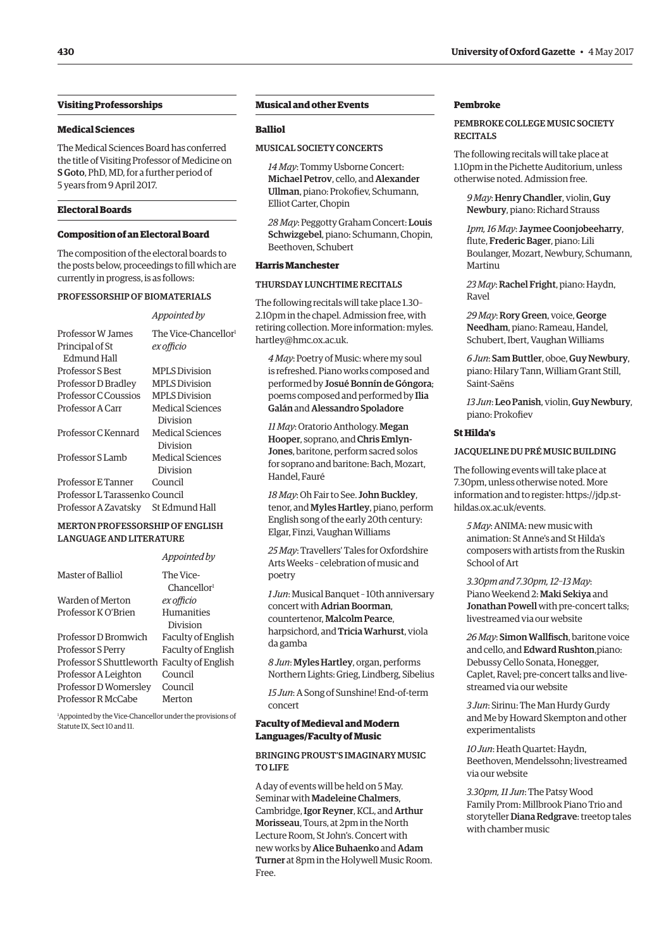#### **Visiting Professorships**

#### **Medical Sciences**

The Medical Sciences Board has conferred the title of Visiting Professor of Medicine on S Goto, PhD, MD, for a further period of 5 years from 9 April 2017.

#### **Electoral Boards**

#### **Composition of an Electoral Board**

The composition of the electoral boards to the posts below, proceedings to fill which are currently in progress, is as follows:

#### PROFESSORSHIP OF BIOMATERIALS

#### *Appointed by*

| <b>Professor W James</b>       | The Vice-Chancellor <sup>1</sup> |
|--------------------------------|----------------------------------|
| Principal of St                | ex officio                       |
| Edmund Hall                    |                                  |
| <b>Professor S Best</b>        | <b>MPLS</b> Division             |
| Professor D Bradley            | <b>MPLS</b> Division             |
| Professor C Coussios           | <b>MPLS</b> Division             |
| Professor A Carr               | <b>Medical Sciences</b>          |
|                                | Division                         |
| Professor C Kennard            | Medical Sciences                 |
|                                | Division                         |
| Professor S Lamb               | Medical Sciences                 |
|                                | Division                         |
| Professor E Tanner             | Council                          |
| Professor L Tarassenko Council |                                  |
| Professor A Zavatsky           | St Edmund Hall                   |
|                                |                                  |

#### MERTON PROFESSORSHIP OF ENGLISH LANGUAGE AND LITERATURE

#### *Appointed by*

| Master of Balliol                           | The Vice-               |
|---------------------------------------------|-------------------------|
|                                             | Chancellor <sup>1</sup> |
| Warden of Merton                            | ex officio              |
| Professor K O'Brien                         | Humanities              |
|                                             | Division                |
| Professor D Bromwich                        | Faculty of English      |
| Professor S Perry                           | Faculty of English      |
| Professor S Shuttleworth Faculty of English |                         |
| Professor A Leighton                        | Council                 |
| Professor D Womersley                       | Council                 |
| Professor R McCabe                          | Merton                  |
|                                             |                         |

1 Appointed by the Vice-Chancellor under the provisions of Statute IX, Sect 10 and 11.

#### **Musical and other Events**

#### **Balliol**

#### MUSICAL SOCIETY CONCERTS

*14 May*: Tommy Usborne Concert: Michael Petrov, cello, and Alexander Ullman, piano: Prokofiev, Schumann, Elliot Carter, Chopin

*28 May*: Peggotty Graham Concert: Louis Schwizgebel, piano: Schumann, Chopin, Beethoven, Schubert

#### **Harris Manchester**

#### THURSDAY LUNCHTIME RECITALS

The following recitals will take place 1.30– 2.10pm in the chapel. Admission free, with [retiring collection. More information: myles.](mailto:myles.hartley@hmc.ox.ac.uk) hartley@hmc.ox.ac.uk.

*4 May*: Poetry of Music: where my soul is refreshed. Piano works composed and performed by Josué Bonnín de Góngora; poems composed and performed by Ilia Galán and Alessandro Spoladore

*11 May*: Oratorio Anthology. Megan Hooper, soprano, and Chris Emlyn-Jones, baritone, perform sacred solos for soprano and baritone: Bach, Mozart, Handel, Fauré

*18 May*: Oh Fair to See. John Buckley, tenor, and Myles Hartley, piano, perform English song of the early 20th century: Elgar, Finzi, Vaughan Williams

*25 May*: Travellers' Tales for Oxfordshire Arts Weeks – celebration of music and poetry

*1 Jun*: Musical Banquet – 10th anniversary concert with Adrian Boorman, countertenor, Malcolm Pearce, harpsichord, and Tricia Warhurst, viola da gamba

*8 Jun*: Myles Hartley, organ, performs Northern Lights: Grieg, Lindberg, Sibelius

*15 Jun*: A Song of Sunshine! End-of-term concert

#### **Faculty of Medieval and Modern Languages/Faculty of Music**

#### BRINGING PROUST'S IMAGINARY MUSIC TO LIFE

A day of events will be held on 5 May. Seminar with Madeleine Chalmers, Cambridge, Igor Reyner, KCL, and Arthur Morisseau, Tours, at 2pm in the North Lecture Room, St John's. Concert with new works by Alice Buhaenko and Adam Turner at 8pm in the Holywell Music Room. Free.

#### **Pembroke**

#### PEMBROKE COLLEGE MUSIC SOCIETY **RECITALS**

The following recitals will take place at 1.10pm in the Pichette Auditorium, unless otherwise noted. Admission free.

*9 May*: Henry Chandler, violin, Guy Newbury, piano: Richard Strauss

*1pm, 16 May*: Jaymee Coonjobeeharry, flute, Frederic Bager, piano: Lili Boulanger, Mozart, Newbury, Schumann, Martinu

*23 May*: Rachel Fright, piano: Haydn, Ravel

*29 May*: Rory Green, voice, George Needham, piano: Rameau, Handel, Schubert, Ibert, Vaughan Williams

*6 Jun*: Sam Buttler, oboe, Guy Newbury, piano: Hilary Tann, William Grant Still, Saint-Saëns

*13 Jun*: Leo Panish, violin, Guy Newbury, piano: Prokofiev

#### **St Hilda's**

#### JACQUELINE DU PRÉ MUSIC BUILDING

The following events will take place at 7.30pm, unless otherwise noted. More [information and to register: https://jdp.st](https://jdp.st-hildas.ox.ac.uk/events)hildas.ox.ac.uk/events.

*5 May*: ANIMA: new music with animation: St Anne's and St Hilda's composers with artists from the Ruskin School of Art

*3.30pm and 7.30pm, 12–13 May*: Piano Weekend 2: Maki Sekiya and Jonathan Powell with pre-concert talks; livestreamed via our website

*26 May*: Simon Wallfisch, baritone voice and cello, and Edward Rushton,piano: Debussy Cello Sonata, Honegger, Caplet, Ravel; pre-concert talks and livestreamed via our website

*3 Jun*: Sirinu: The Man Hurdy Gurdy and Me by Howard Skempton and other experimentalists

*10 Jun*: Heath Quartet: Haydn, Beethoven, Mendelssohn; livestreamed via our website

*3.30pm, 11 Jun*: The Patsy Wood Family Prom: Millbrook Piano Trio and storyteller Diana Redgrave: treetop tales with chamber music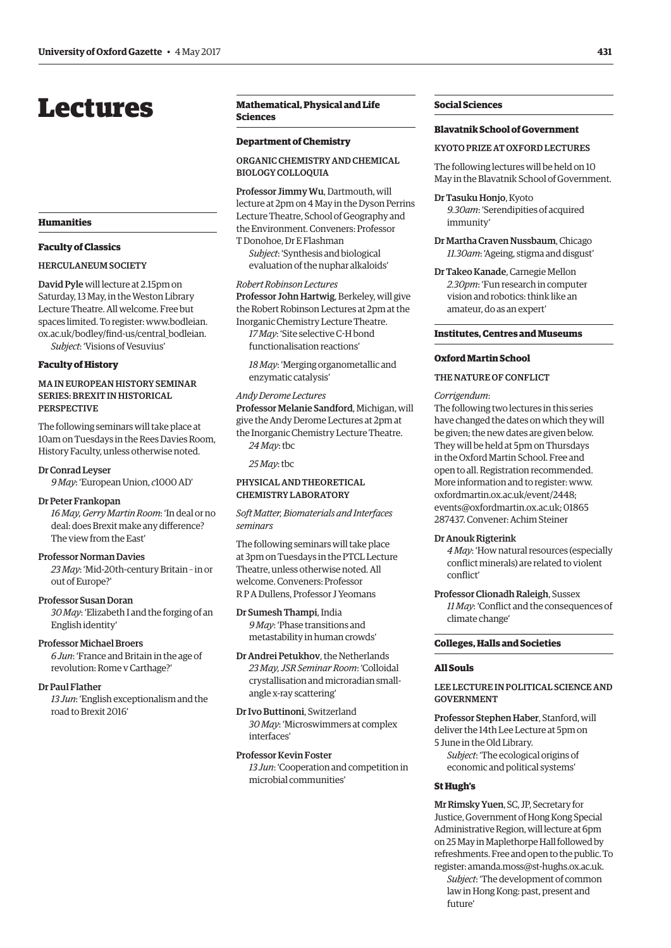## <span id="page-6-0"></span>Lectures

#### **Humanities**

#### **Faculty of Classics**

#### HERCULANEUM SOCIETY

David Pyle will lecture at 2.15pm on Saturday, 13 May, in the Weston Library Lecture Theatre. All welcome. Free but [spaces limited. To register: www.bodleian.](www.bodleian.ox.ac.uk/bodley/find-us/central_bodleian) ox.ac.uk/bodley/find-us/central\_bodleian.

*Subject*: 'Visions of Vesuvius'

#### **Faculty of History**

#### MA IN EUROPEAN HISTORY SEMINAR SERIES: BREXIT IN HISTORICAL PERSPECTIVE

The following seminars will take place at 10am on Tuesdays in the Rees Davies Room, History Faculty, unless otherwise noted.

#### Dr Conrad Leyser

*9 May*: 'European Union, *c*1000 AD'

#### Dr Peter Frankopan

*16 May, Gerry Martin Room*: 'In deal or no deal: does Brexit make any difference? The view from the East'

#### Professor Norman Davies

*23 May*: 'Mid-20th-century Britain – in or out of Europe?'

#### Professor Susan Doran

*30 May*: 'Elizabeth I and the forging of an English identity'

#### Professor Michael Broers

*6 Jun*: 'France and Britain in the age of revolution: Rome v Carthage?'

#### Dr Paul Flather

*13 Jun*: 'English exceptionalism and the road to Brexit 2016'

#### **Mathematical, Physical and Life Sciences**

#### **Department of Chemistry**

ORGANIC CHEMISTRY AND CHEMICAL BIOLOGY COLLOQUIA

Professor Jimmy Wu, Dartmouth, will lecture at 2pm on 4 May in the Dyson Perrins Lecture Theatre, School of Geography and the Environment. Conveners: Professor T Donohoe, Dr E Flashman *Subject*: 'Synthesis and biological

evaluation of the nuphar alkaloids'

*Robert Robinson Lectures* Professor John Hartwig, Berkeley, will give the Robert Robinson Lectures at 2pm at the Inorganic Chemistry Lecture Theatre.

*17 May*: 'Site selective C-H bond functionalisation reactions'

*18 May*: 'Merging organometallic and enzymatic catalysis'

#### *Andy Derome Lectures*

Professor Melanie Sandford, Michigan, will give the Andy Derome Lectures at 2pm at the Inorganic Chemistry Lecture Theatre. *24 May*: tbc

*25 May*: tbc

#### PHYSICAL AND THEORETICAL CHEMISTRY LABORATORY

*Soft Matter, Biomaterials and Interfaces seminars*

The following seminars will take place at 3pm on Tuesdays in the PTCL Lecture Theatre, unless otherwise noted. All welcome. Conveners: Professor R P A Dullens, Professor J Yeomans

#### Dr Sumesh Thampi, India

*9 May*: 'Phase transitions and metastability in human crowds'

Dr Andrei Petukhov, the Netherlands *23 May, JSR Seminar Room*: 'Colloidal crystallisation and microradian smallangle x-ray scattering'

Dr Ivo Buttinoni, Switzerland *30 May*: 'Microswimmers at complex interfaces'

#### Professor Kevin Foster

*13 Jun*: 'Cooperation and competition in microbial communities'

#### **Social Sciences**

#### **Blavatnik School of Government**

#### KYOTO PRIZE AT OXFORD LECTURES

The following lectures will be held on 10 May in the Blavatnik School of Government.

#### Dr Tasuku Honjo, Kyoto *9.30am*: 'Serendipities of acquired immunity'

- Dr Martha Craven Nussbaum, Chicago *11.30am*: 'Ageing, stigma and disgust'
- Dr Takeo Kanade, Carnegie Mellon *2.30pm*: 'Fun research in computer vision and robotics: think like an amateur, do as an expert'

#### **Institutes, Centres and Museums**

#### **Oxford Martin School**

#### THE NATURE OF CONFLICT

#### *Corrigendum*:

The following two lectures in this series have changed the dates on which they will be given; the new dates are given below. They will be held at 5pm on Thursdays in the Oxford Martin School. Free and open to all. Registration recommended. More information and to register: [www.](http://www.oxfordmartin.ox.ac.uk/event/2448) [oxfordmartin.ox.ac.uk/event/2448;](http://www.oxfordmartin.ox.ac.uk/event/2448)  [events@oxfordmartin.ox.ac.uk; 01](mailto:events@oxfordmartin.ox.ac.uk)865 287437. Convener: Achim Steiner

#### Dr Anouk Rigterink

*4 May*: 'How natural resources (especially conflict minerals) are related to violent conflict'

Professor Clionadh Raleigh, Sussex *11 May*: 'Conflict and the consequences of climate change'

#### **Colleges, Halls and Societies**

#### **All Souls**

LEE LECTURE IN POLITICAL SCIENCE AND GOVERNMENT

Professor Stephen Haber, Stanford, will deliver the 14th Lee Lecture at 5pm on 5 June in the Old Library.

*Subject*: 'The ecological origins of economic and political systems'

#### **St Hugh's**

Mr Rimsky Yuen, SC, JP, Secretary for Justice, Government of Hong Kong Special Administrative Region, will lecture at 6pm on 25 May in Maplethorpe Hall followed by refreshments. Free and open to the public. To register: [amanda.moss@st-hughs.ox.ac.uk.](mailto:amanda.moss@st-hughs.ox.ac.uk)

*Subject*: 'The development of common law in Hong Kong: past, present and future'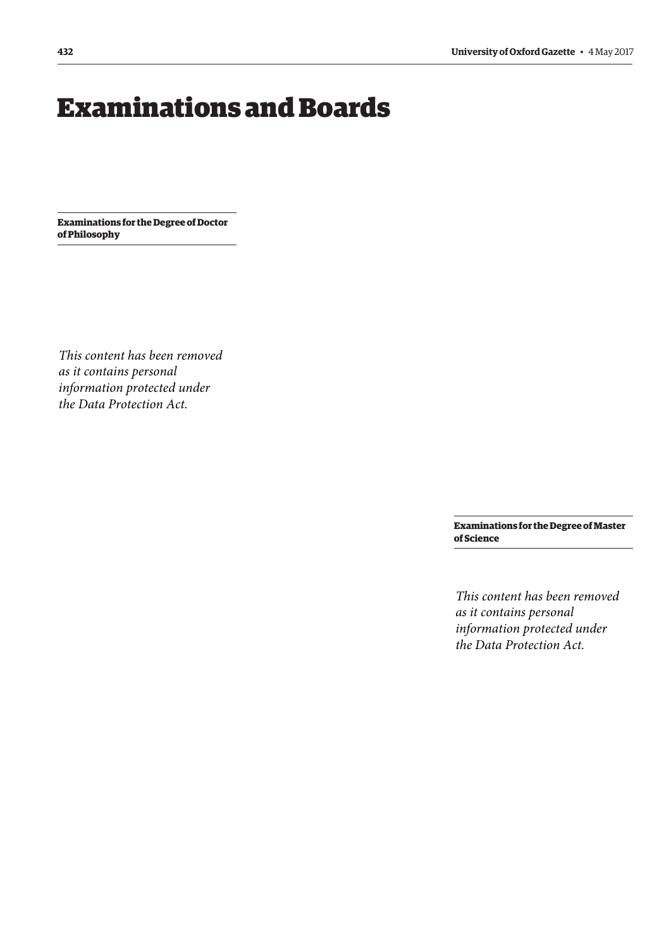# <span id="page-7-0"></span>Examinations and Boards

**Examinations for the Degree of Doctor of Philosophy**

*This content has been removed as it contains personal information protected under the Data Protection Act.*

> **Examinations for the Degree of Master of Science**

*This content has been removed as it contains personal information protected under the Data Protection Act.*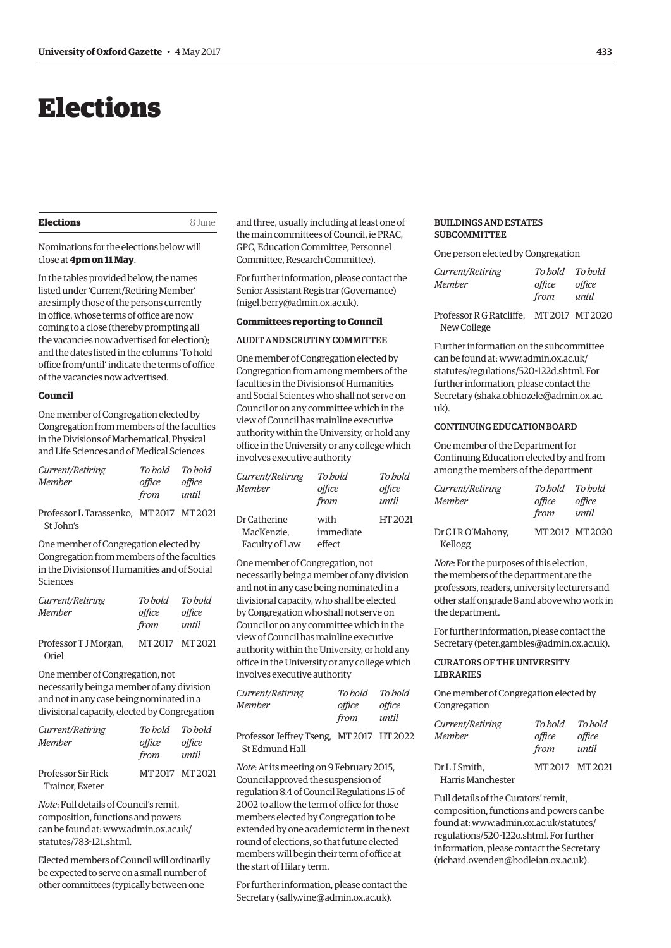## <span id="page-8-0"></span>Elections

#### **Elections** 8 June

Nominations for the elections below will close at **4pm on 11 May**.

In the tables provided below, the names listed under 'Current/Retiring Member' are simply those of the persons currently in office, whose terms of office are now coming to a close (thereby prompting all the vacancies now advertised for election); and the dates listed in the columns 'To hold office from/until' indicate the terms of office of the vacancies now advertised.

#### **Council**

One member of Congregation elected by Congregation from members of the faculties in the Divisions of Mathematical, Physical and Life Sciences and of Medical Sciences

| Current/Retiring | To hold | To bold |
|------------------|---------|---------|
| Member           | office  | office  |
|                  | from    | until   |
|                  |         |         |

Professor L Tarassenko, MT 2017 MT 2021 St John's

One member of Congregation elected by Congregation from members of the faculties in the Divisions of Humanities and of Social Sciences

| To bold | To hold               |
|---------|-----------------------|
| office  | office                |
|         | until                 |
|         |                       |
|         | from<br>MT2017 MT2021 |

One member of Congregation, not necessarily being a member of any division and not in any case being nominated in a divisional capacity, elected by Congregation

| Current/Retiring                             | To hold To hold |                 |
|----------------------------------------------|-----------------|-----------------|
| Member                                       | office<br>from  | office<br>until |
| <b>Professor Sir Rick</b><br>Trainor, Exeter |                 | MT2017 MT2021   |

*Note*: Full details of Council's remit, composition, functions and powers [can be found at: www.admin.ox.ac.uk/](www.admin.ox.ac.uk/statutes/783-121.shtml) statutes/783-121.shtml.

Elected members of Council will ordinarily be expected to serve on a small number of other committees (typically between one

and three, usually including at least one of the main committees of Council, ie PRAC, GPC, Education Committee, Personnel Committee, Research Committee).

For further information, please contact the Senior Assistant Registrar (Governance) [\(nigel.berry@admin.ox.ac.uk\).](mailto:nigel.berry@admin.ox.ac.uk)

#### **Committees reporting to Council**

#### AUDIT AND SCRUTINY COMMITTEE

One member of Congregation elected by Congregation from among members of the faculties in the Divisions of Humanities and Social Sciences who shall not serve on Council or on any committee which in the view of Council has mainline executive authority within the University, or hold any office in the University or any college which involves executive authority

| Current/Retiring<br>Member                   | To bold<br>office<br>from   | To bold<br>office<br>until |
|----------------------------------------------|-----------------------------|----------------------------|
| Dr Catherine<br>MacKenzie.<br>Faculty of Law | with<br>immediate<br>effect | HT 2021                    |

One member of Congregation, not necessarily being a member of any division and not in any case being nominated in a divisional capacity, who shall be elected by Congregation who shall not serve on Council or on any committee which in the view of Council has mainline executive authority within the University, or hold any office in the University or any college which involves executive authority

| <i>Current/Retiring</i>                  | To hold | To bold |
|------------------------------------------|---------|---------|
| Member                                   | office  | office  |
|                                          | from    | until   |
| Professor Jeffrey Tseng. MT 2017 HT 2022 |         |         |

St Edmund Hall

*Note*: At its meeting on 9 February 2015, Council approved the suspension of regulation 8.4 of Council Regulations 15 of 2002 to allow the term of office for those members elected by Congregation to be extended by one academic term in the next round of elections, so that future elected members will begin their term of office at the start of Hilary term.

For further information, please contact the Secretary ([sally.vine@admin.ox.ac.uk\).](mailto:sally.vine@admin.ox.ac.uk)

#### BUILDINGS AND ESTATES **SUBCOMMITTEE**

One person elected by Congregation

| <i>Current/Retiring</i> | To hold To hold |        |
|-------------------------|-----------------|--------|
| Member                  | office          | office |
|                         | from            | until  |

Professor R G Ratcliffe, MT 2017 MT 2020 New College

Further information on the subcommittee  $can be found at: www.admin.ox.ac.uk/$ [statutes/regulations/520-122d.shtml. For](www.admin.ox.ac.uk/statutes/regulations/520-122d.shtml)  further information, please contact the Secretary ([shaka.obhiozele@admin.ox.ac.](mailto:shaka.obhiozele@admin.ox.ac.uk)  $11k$ ).

#### CONTINUING EDUCATION BOARD

One member of the Department for Continuing Education elected by and from among the members of the department

| Current/Retiring | To hold To hold |               |
|------------------|-----------------|---------------|
| <b>Member</b>    | office          | office        |
|                  | from            | until         |
| Dr CIRO'Mahony,  |                 | MT2017 MT2020 |
| Kellogg          |                 |               |

*Note*: For the purposes of this election, the members of the department are the professors, readers, university lecturers and other staff on grade 8 and above who work in the department.

For further information, please contact the Secretary ([peter.gambles@admin.ox.ac.uk\).](mailto:peter.gambles@admin.ox.ac.uk)

#### CURATORS OF THE UNIVERSITY **LIBRARIES**

One member of Congregation elected by Congregation

| Current/Retiring  | To hold       | To hold |
|-------------------|---------------|---------|
| Member            | office        | office  |
|                   | from          | until   |
| Dr L J Smith,     | MT2017 MT2021 |         |
| Harris Manchester |               |         |

Full details of the Curators' remit, composition, functions and powers can be [found at: www.admin.ox.ac.uk/statutes/](www.admin.ox.ac.uk/statutes/regulations/520-122o.shtml) regulations/520-122o.shtml. For further information, please contact the Secretary [\(richard.ovenden@bodleian.ox.ac.uk\).](mailto:richard.ovenden@bodleian.ox.ac.uk)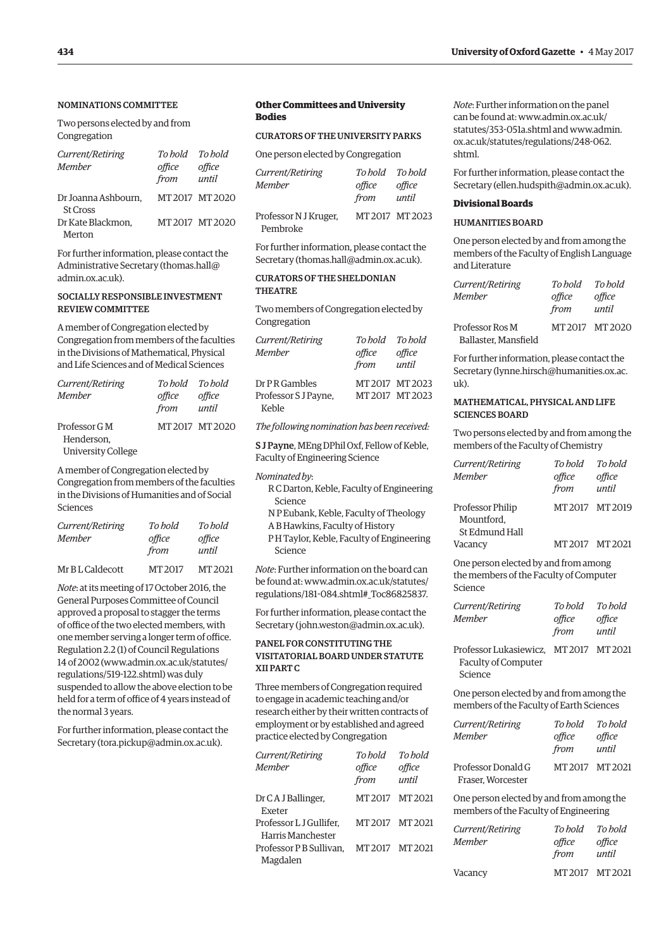#### NOMINATIONS COMMITTEE

Two persons elected by and from Congregation

| Current/Retiring<br>Member | To hold To hold<br>office<br>from | office<br>until |
|----------------------------|-----------------------------------|-----------------|
| Dr Joanna Ashbourn.        |                                   | MT 2017 MT 2020 |
| <b>St Cross</b>            |                                   |                 |
| Dr Kate Blackmon.          |                                   | MT 2017 MT 2020 |
| Merton                     |                                   |                 |

For further information, please contact the Administrative Secretary ([thomas.hall@](mailto:thomas.hall@admin.ox.ac.uk) [admin.ox.ac.uk\).](mailto:thomas.hall@admin.ox.ac.uk)

#### SOCIALLY RESPONSIBLE INVESTMENT REVIEW COMMITTEE

A member of Congregation elected by Congregation from members of the faculties in the Divisions of Mathematical, Physical and Life Sciences and of Medical Sciences

| Current/Retiring   | To hold To hold |                 |
|--------------------|-----------------|-----------------|
| Member             | office          | office          |
|                    | from            | until           |
| Professor G M      |                 | MT 2017 MT 2020 |
| Henderson.         |                 |                 |
| University College |                 |                 |

A member of Congregation elected by Congregation from members of the faculties in the Divisions of Humanities and of Social Sciences

| Current/Retiring<br>Member | To bold<br>office<br>from | To hold<br>office<br>until |
|----------------------------|---------------------------|----------------------------|
| Mr B L Caldecott           | MT 2017                   | MT 2021                    |

*Note*: at its meeting of 17 October 2016, the General Purposes Committee of Council approved a proposal to stagger the terms of office of the two elected members, with one member serving a longer term of office. Regulation 2.2 (1) of Council Regulations 14 of 2002 [\(www.admin.ox.ac.uk/statutes/](http://www.admin.ox.ac.uk/statutes/regulations/519-122.shtml) [regulations/519-122.shtml\) wa](http://www.admin.ox.ac.uk/statutes/regulations/519-122.shtml)s duly suspended to allow the above election to be held for a term of office of 4 years instead of the normal 3 years.

For further information, please contact the Secretary [\(tora.pickup@admin.ox.ac.uk\).](mailto:tora.pickup@admin.ox.ac.uk)

#### **Other Committees and University Bodies**

#### CURATORS OF THE UNIVERSITY PARKS

One person elected by Congregation

| Current/Retiring<br><b>Member</b> | To hold To hold<br>office<br>from | office<br>until |
|-----------------------------------|-----------------------------------|-----------------|
| Professor N J Kruger,<br>Pembroke |                                   | MT2017 MT2023   |

For further information, please contact the Secretary ([thomas.hall@admin.ox.ac.uk\).](mailto:thomas.hall@admin.ox.ac.uk)

#### CURATORS OF THE SHELDONIAN THEATRE

Two members of Congregation elected by Congregation

| Current/Retiring     | To hold To hold |                 |
|----------------------|-----------------|-----------------|
| <b>Member</b>        | office          | office          |
|                      | from            | until           |
| Dr P R Gambles       |                 | MT2017 MT2023   |
| Professor S J Payne, |                 | MT 2017 MT 2023 |
| Keble                |                 |                 |

*The following nomination has been received:*

S J Payne, MEng DPhil Oxf, Fellow of Keble, Faculty of Engineering Science

*Nominated by*:

- R C Darton, Keble, Faculty of Engineering Science
- N P Eubank, Keble, Faculty of Theology A B Hawkins, Faculty of History
- 

P H Taylor, Keble, Faculty of Engineering Science

*Note*: Further information on the board can [be found at: www.admin.ox.ac.uk/statutes/](www.admin.ox.ac.uk/statutes/regulations/181-084.shtml#_Toc86825837) regulations/181-084.shtml#\_Toc86825837.

For further information, please contact the Secretary ([john.weston@admin.ox.ac.uk\).](mailto:john.weston@admin.ox.ac.uk)

#### PANEL FOR CONSTITUTING THE VISITATORIAL BOARD UNDER STATUTE XII PART C

Three members of Congregation required to engage in academic teaching and/or research either by their written contracts of employment or by established and agreed practice elected by Congregation

| Current/Retiring<br><b>Member</b>            | To hold<br>office<br>from | To hold<br>office<br>until |
|----------------------------------------------|---------------------------|----------------------------|
| Dr C A J Ballinger,<br>Exeter                | MT 2017                   | MT 2021                    |
| Professor L J Gullifer,                      |                           | MT 2017 MT 2021            |
| Harris Manchester<br>Professor P B Sullivan, | MT 2017                   | MT 2021                    |
| Magdalen                                     |                           |                            |

*Note*: Further information on the panel can be foun[d at: www.admin.ox.ac.uk/](www.admin.ox.ac.uk/statutes/353-051a.shtml) statutes/353-051a.shtml [and www.admin.](www.admin.ox.ac.uk/statutes/regulations/248-062.shtml) ox.ac.uk/statutes/regulations/248-062. shtml.

For further information, please contact the Secretary ([ellen.hudspith@admin.ox.ac.uk\).](mailto:ellen.hudspith@admin.ox.ac.uk)

#### **Divisional Boards**

#### HUMANITIES BOARD

One person elected by and from among the members of the Faculty of English Language and Literature

| Current/Retiring                        | To bold        | To bold         |
|-----------------------------------------|----------------|-----------------|
| <b>Member</b>                           | office<br>from | office<br>until |
| Professor Ros M<br>Ballaster, Mansfield |                | MT2017 MT2020   |

For further information, please contact the Secretary ([lynne.hirsch@humanities.ox.ac.](mailto:lynne.hirsch@humanities.ox.ac.uk) [uk\).](mailto:lynne.hirsch@humanities.ox.ac.uk)

#### MATHEMATICAL, PHYSICAL AND LIFE SCIENCES BOARD

Two persons elected by and from among the members of the Faculty of Chemistry

| Current/Retiring               | To hold | To hold         |
|--------------------------------|---------|-----------------|
| <b>Member</b>                  | office  | office          |
|                                | from    | until           |
| Professor Philip<br>Mountford. |         | MT2017 MT2019   |
| St Edmund Hall                 |         |                 |
| Vacancy                        |         | MT 2017 MT 2021 |

One person elected by and from among the members of the Faculty of Computer Science

| Current/Retiring                       | To bold | To hold |
|----------------------------------------|---------|---------|
| <b>Member</b>                          | office  | office  |
|                                        | from    | until   |
| Professor Lukasiewicz, MT 2017 MT 2021 |         |         |
| Faculty of Computer                    |         |         |

Science

One person elected by and from among the members of the Faculty of Earth Sciences

| Current/Retiring<br>Member              | To hold<br>office<br>from | To hold<br>office<br>until |
|-----------------------------------------|---------------------------|----------------------------|
| Professor Donald G<br>Fraser. Worcester | MT 2017 MT 2021           |                            |

One person elected by and from among the members of the Faculty of Engineering

| Current/Retiring<br>Member | To bold<br>office<br>from | To hold<br>office<br>until |
|----------------------------|---------------------------|----------------------------|
| Vacancy                    |                           | MT 2017 MT 2021            |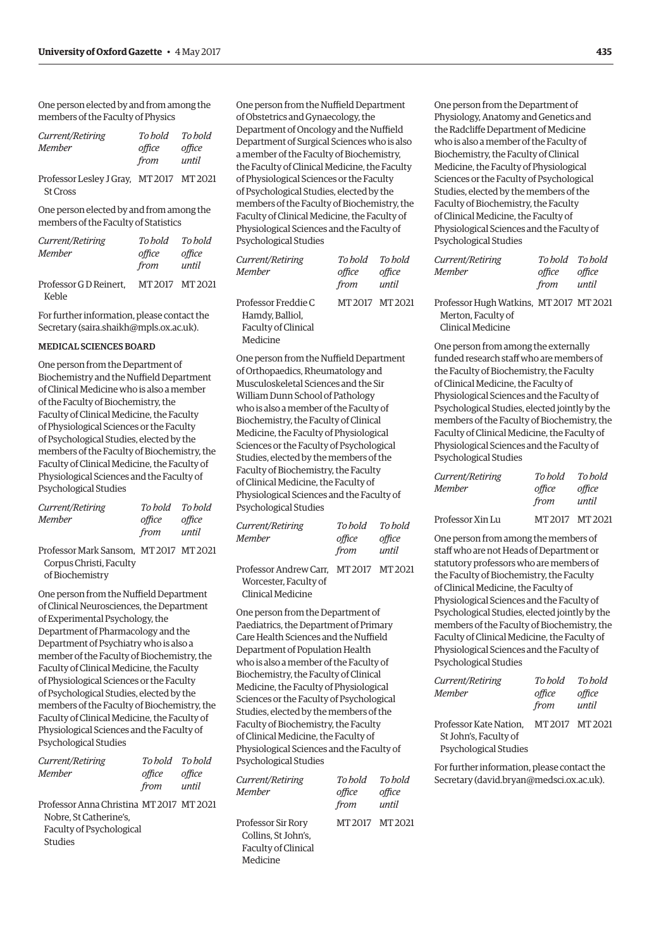One person elected by and from among the members of the Faculty of Physics

| Current/Retiring | To bold | To hold |
|------------------|---------|---------|
| Member           | office  | office  |
|                  | from    | until   |
|                  |         |         |

Professor Lesley J Gray, MT 2017 MT 2021 St Cross

One person elected by and from among the members of the Faculty of Statistics

| Current/Retiring                               | To hold | To hold |
|------------------------------------------------|---------|---------|
| Member                                         | office  | office  |
|                                                | from    | until   |
| Professor GD Reinert. MT 2017 MT 2021<br>Keble |         |         |

For further information, please contact the Secretary [\(saira.shaikh@mpls.ox.ac.uk\).](mailto:saira.shaikh@mpls.ox.ac.uk)

#### MEDICAL SCIENCES BOARD

One person from the Department of Biochemistry and the Nuffield Department of Clinical Medicine who is also a member of the Faculty of Biochemistry, the Faculty of Clinical Medicine, the Faculty of Physiological Sciences or the Faculty of Psychological Studies, elected by the members of the Faculty of Biochemistry, the Faculty of Clinical Medicine, the Faculty of Physiological Sciences and the Faculty of Psychological Studies

|        | To hold To hold |
|--------|-----------------|
| office | office          |
| from   | until           |
|        |                 |

Professor Mark Sansom, MT 2017 MT 2021 Corpus Christi, Faculty of Biochemistry

One person from the Nuffield Department of Clinical Neurosciences, the Department of Experimental Psychology, the Department of Pharmacology and the Department of Psychiatry who is also a member of the Faculty of Biochemistry, the Faculty of Clinical Medicine, the Faculty of Physiological Sciences or the Faculty of Psychological Studies, elected by the members of the Faculty of Biochemistry, the Faculty of Clinical Medicine, the Faculty of Physiological Sciences and the Faculty of Psychological Studies

| Current/Retiring |        | To hold To hold |
|------------------|--------|-----------------|
| Member           | office | office          |
|                  | from   | until           |
|                  |        |                 |

Professor Anna Christina MT 2017 MT 2021 Nobre, St Catherine's, Faculty of Psychological Studies

One person from the Nuffield Department of Obstetrics and Gynaecology, the Department of Oncology and the Nuffield Department of Surgical Sciences who is also a member of the Faculty of Biochemistry, the Faculty of Clinical Medicine, the Faculty of Physiological Sciences or the Faculty of Psychological Studies, elected by the members of the Faculty of Biochemistry, the Faculty of Clinical Medicine, the Faculty of Physiological Sciences and the Faculty of Psychological Studies

| Current/Retiring                                              | To hold | To hold         |
|---------------------------------------------------------------|---------|-----------------|
| Member                                                        | office  | office          |
|                                                               | from    | until           |
| Professor Freddie C<br>Hamdy, Balliol,<br>Faculty of Clinical |         | MT 2017 MT 2021 |
| Medicine                                                      |         |                 |

One person from the Nuffield Department of Orthopaedics, Rheumatology and Musculoskeletal Sciences and the Sir William Dunn School of Pathology who is also a member of the Faculty of Biochemistry, the Faculty of Clinical Medicine, the Faculty of Physiological Sciences or the Faculty of Psychological Studies, elected by the members of the Faculty of Biochemistry, the Faculty of Clinical Medicine, the Faculty of Physiological Sciences and the Faculty of Psychological Studies

| Current/Retiring                       | To hold | To bold |
|----------------------------------------|---------|---------|
| Member                                 | office  | office  |
|                                        | from    | until   |
| Professor Andrew Carr, MT 2017 MT 2021 |         |         |

 Worcester, Faculty of Clinical Medicine

One person from the Department of Paediatrics, the Department of Primary Care Health Sciences and the Nuffield Department of Population Health who is also a member of the Faculty of Biochemistry, the Faculty of Clinical Medicine, the Faculty of Physiological Sciences or the Faculty of Psychological Studies, elected by the members of the Faculty of Biochemistry, the Faculty of Clinical Medicine, the Faculty of Physiological Sciences and the Faculty of Psychological Studies

| Current/Retiring<br>Member                                                   | To bold<br>office<br>from | To hold<br>office<br>until |
|------------------------------------------------------------------------------|---------------------------|----------------------------|
| Professor Sir Rory<br>Collins, St John's,<br>Faculty of Clinical<br>Medicine | MT 2017 MT 2021           |                            |

One person from the Department of Physiology, Anatomy and Genetics and the Radcliffe Department of Medicine who is also a member of the Faculty of Biochemistry, the Faculty of Clinical Medicine, the Faculty of Physiological Sciences or the Faculty of Psychological Studies, elected by the members of the Faculty of Biochemistry, the Faculty of Clinical Medicine, the Faculty of Physiological Sciences and the Faculty of Psychological Studies

| Current/Retiring |  | To hold To hold |        |
|------------------|--|-----------------|--------|
| Member           |  | office          | office |
|                  |  | from            | until  |
|                  |  |                 |        |

Professor Hugh Watkins, MT 2017 MT 2021 Merton, Faculty of Clinical Medicine

One person from among the externally funded research staff who are members of the Faculty of Biochemistry, the Faculty of Clinical Medicine, the Faculty of Physiological Sciences and the Faculty of Psychological Studies, elected jointly by the members of the Faculty of Biochemistry, the Faculty of Clinical Medicine, the Faculty of Physiological Sciences and the Faculty of Psychological Studies

| Current/Retiring | To hold | To bold |
|------------------|---------|---------|
| Member           | office  | office  |
|                  | from    | until   |
|                  |         |         |

Professor Xin Lu MT 2017 MT 2021

One person from among the members of staff who are not Heads of Department or statutory professors who are members of the Faculty of Biochemistry, the Faculty of Clinical Medicine, the Faculty of Physiological Sciences and the Faculty of Psychological Studies, elected jointly by the members of the Faculty of Biochemistry, the Faculty of Clinical Medicine, the Faculty of Physiological Sciences and the Faculty of

| Current/Retiring<br><b>Member</b> | To hold<br>office<br>from | To bold<br>office<br>until |
|-----------------------------------|---------------------------|----------------------------|
| Professor Kate Nation,            | MT 2017 MT 2021           |                            |
| St John's, Faculty of             |                           |                            |
| Psychological Studies             |                           |                            |

Psychological Studies

For further information, please contact the Secretary ([david.bryan@medsci.ox.ac.uk\).](mailto:david.bryan@medsci.ox.ac.uk)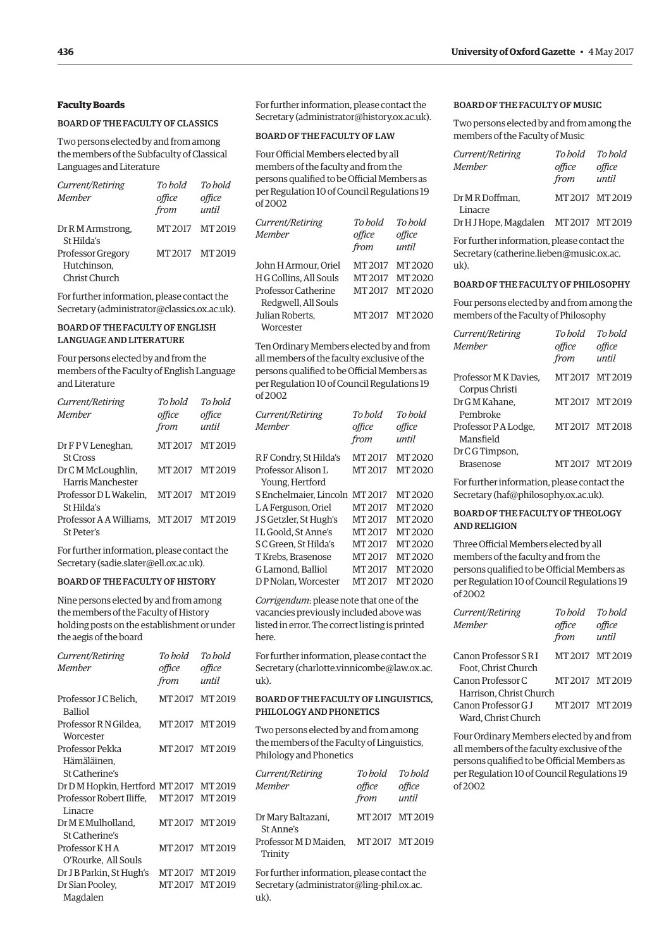#### **Faculty Boards**

#### BOARD OF THE FACULTY OF CLASSICS

Two persons elected by and from among the members of the Subfaculty of Classical Languages and Literature

| Current/Retiring<br>Member      | To hold<br>office<br>from | To hold<br>office<br>until |
|---------------------------------|---------------------------|----------------------------|
| Dr R M Armstrong.<br>St Hilda's | MT 2017                   | MT 2019                    |
| Professor Gregory               | MT 2017                   | MT 2019                    |
| Hutchinson.                     |                           |                            |
| Christ Church                   |                           |                            |

For further information, please contact the Secretary [\(administrator@classics.ox.ac.uk\).](mailto:administrator@classics.ox.ac.uk)

#### BOARD OF THE FACULTY OF ENGLISH LANGUAGE AND LITERATURE

Four persons elected by and from the members of the Faculty of English Language and Literature

| Current/Retiring<br>Memher                            | To hold<br>office<br>from | To hold<br>office<br>until |
|-------------------------------------------------------|---------------------------|----------------------------|
| Dr F P V Leneghan,<br><b>St Cross</b>                 | MT 2017 MT 2019           |                            |
| Dr C M McLoughlin,<br>Harris Manchester               | MT 2017 MT 2019           |                            |
| Professor DL Wakelin,<br>St Hilda's                   | MT 2017 MT 2019           |                            |
| Professor A A Williams. MT 2017 MT 2019<br>St Peter's |                           |                            |

For further information, please contact the Secretary [\(sadie.slater@ell.ox.ac.uk\).](mailto:sadie.slater@ell.ox.ac.uk)

#### BOARD OF THE FACULTY OF HISTORY

Nine persons elected by and from among the members of the Faculty of History holding posts on the establishment or under the aegis of the board

| Current/Retiring                        | To bold         | To bold |
|-----------------------------------------|-----------------|---------|
| <b>Member</b>                           | office          | office  |
|                                         | from            | until   |
| Professor J C Belich,<br><b>Balliol</b> | MT 2017 MT 2019 |         |
| Professor R N Gildea.<br>Worcester      | MT 2017 MT 2019 |         |
| Professor Pekka                         | MT2017 MT2019   |         |
| Hämäläinen.                             |                 |         |
| St Catherine's                          |                 |         |
| Dr D M Hopkin, Hertford MT 2017 MT 2019 |                 |         |
| Professor Robert Iliffe.                | MT2017 MT2019   |         |
| Linacre                                 |                 |         |
| Dr M E Mulholland,                      | MT 2017 MT 2019 |         |
| St Catherine's                          |                 |         |
| Professor K H A                         | MT 2017 MT 2019 |         |
| O'Rourke, All Souls                     |                 |         |
| Dr J B Parkin, St Hugh's                | MT 2017 MT 2019 |         |
| Dr Sîan Pooley,                         | MT 2017 MT 2019 |         |
| Magdalen                                |                 |         |

For further information, please contact the Secretary ([administrator@history.ox.ac.uk\).](mailto:administrator@history.ox.ac.uk)

#### BOARD OF THE FACULTY OF LAW

Four Official Members elected by all members of the faculty and from the persons qualified to be Official Members as per Regulation 10 of Council Regulations 19 of 2002

| Current/Retiring       | To hold | To hold       |
|------------------------|---------|---------------|
| <b>Member</b>          | office  | office        |
|                        | from    | until         |
| John H Armour. Oriel   | MT 2017 | MT 2020       |
| H G Collins, All Souls | MT 2017 | MT2020        |
| Professor Catherine    | MT 2017 | MT 2020       |
| Redgwell, All Souls    |         |               |
| Julian Roberts.        |         | MT2017 MT2020 |
| Worcester              |         |               |

Ten Ordinary Members elected by and from all members of the faculty exclusive of the persons qualified to be Official Members as per Regulation 10 of Council Regulations 19 of 2002

| Current/Retiring<br>Member | To hold<br>office<br>from | To hold<br>office<br>until |
|----------------------------|---------------------------|----------------------------|
| RF Condry, St Hilda's      | MT 2017                   | MT2020                     |
| Professor Alison L         | MT 2017                   | MT 2020                    |
| Young, Hertford            |                           |                            |
| S Enchelmaier. Lincoln     | MT 2017                   | MT2020                     |
| LA Ferguson, Oriel         | MT 2017                   | MT 2020                    |
| J S Getzler, St Hugh's     | MT 2017                   | MT 2020                    |
| IL Goold. St Anne's        | MT 2017                   | MT2020                     |
| S C Green. St Hilda's      | MT 2017                   | MT 2020                    |
| T Krebs. Brasenose         | MT 2017                   | MT 2020                    |
| G Lamond. Balliol          | MT 2017                   | MT2020                     |
| DP Nolan. Worcester        | MT 2017                   | MT2020                     |

*Corrigendum*: please note that one of the vacancies previously included above was listed in error. The correct listing is printed here.

For further information, please contact the Secretary ([charlotte.vinnicombe@law.ox.ac.](mailto:charlotte.vinnicombe@law.ox.ac.uk)  $11k$ 

#### BOARD OF THE FACULTY OF LINGUISTICS, PHILOLOGY AND PHONETICS

Two persons elected by and from among the members of the Faculty of Linguistics, Philology and Phonetics

| Current/Retiring<br><b>Member</b>           | To hold<br>office<br>from | To hold<br>office<br>until |
|---------------------------------------------|---------------------------|----------------------------|
| Dr Mary Baltazani,<br>St Anne's             |                           | MT2017 MT2019              |
| Professor M D Maiden,<br>Trinity            | MT2017 MT2019             |                            |
| For further information, please contact the |                           |                            |

Secretary ([administrator@ling-phil.ox.ac.](mailto:administrator@ling-phil.ox.ac.uk) [uk\).](mailto:administrator@ling-phil.ox.ac.uk)

### BOARD OF THE FACULTY OF MUSIC

Two persons elected by and from among the members of the Faculty of Music

| Current/Retiring                                                     | To hold | To hold         |
|----------------------------------------------------------------------|---------|-----------------|
| <b>Member</b>                                                        | office  | office          |
|                                                                      | from    | until           |
| Dr M R Doffman.                                                      |         | MT 2017 MT 2019 |
| Linacre                                                              |         |                 |
| Dr H J Hope, Magdalen MT 2017 MT 2019                                |         |                 |
| The or formula results for more and a second are a comparable to a f |         |                 |

For further information, please contact the Secretary ([catherine.lieben@music.ox.ac.](mailto:catherine.lieben@music.ox.ac.uk) [uk\).](mailto:catherine.lieben@music.ox.ac.uk)

#### BOARD OF THE FACULTY OF PHILOSOPHY

Four persons elected by and from among the members of the Faculty of Philosophy

| Current/Retiring<br>Member             | To hold<br>office<br>from | To hold<br>office<br>until |
|----------------------------------------|---------------------------|----------------------------|
| Professor MK Davies,<br>Corpus Christi |                           | MT2017 MT2019              |
| Dr G M Kahane.<br>Pembroke             |                           | MT 2017 MT 2019            |
| Professor P A Lodge,<br>Mansfield      |                           | MT2017 MT2018              |
| Dr C G Timpson,<br>Brasenose           |                           | MT 2017 MT 2019            |

For further information, please contact the Secretary ([haf@philosophy.ox.ac.uk\).](mailto:haf@philosophy.ox.ac.uk)

#### BOARD OF THE FACULTY OF THEOLOGY AND RELIGION

Three Official Members elected by all members of the faculty and from the persons qualified to be Official Members as per Regulation 10 of Council Regulations 19 of 2002

| Current/Retiring<br>Member | To hold<br>office<br>from | To hold<br>office<br>until |
|----------------------------|---------------------------|----------------------------|
| Canon Professor S R I      |                           | MT 2017 MT 2019            |
| Foot. Christ Church        |                           |                            |
| Canon Professor C          |                           | MT 2017 MT 2019            |
| Harrison. Christ Church    |                           |                            |
| Canon Professor G I        |                           | MT 2017 MT 2019            |
| Ward, Christ Church        |                           |                            |

Four Ordinary Members elected by and from all members of the faculty exclusive of the persons qualified to be Official Members as per Regulation 10 of Council Regulations 19 of 2002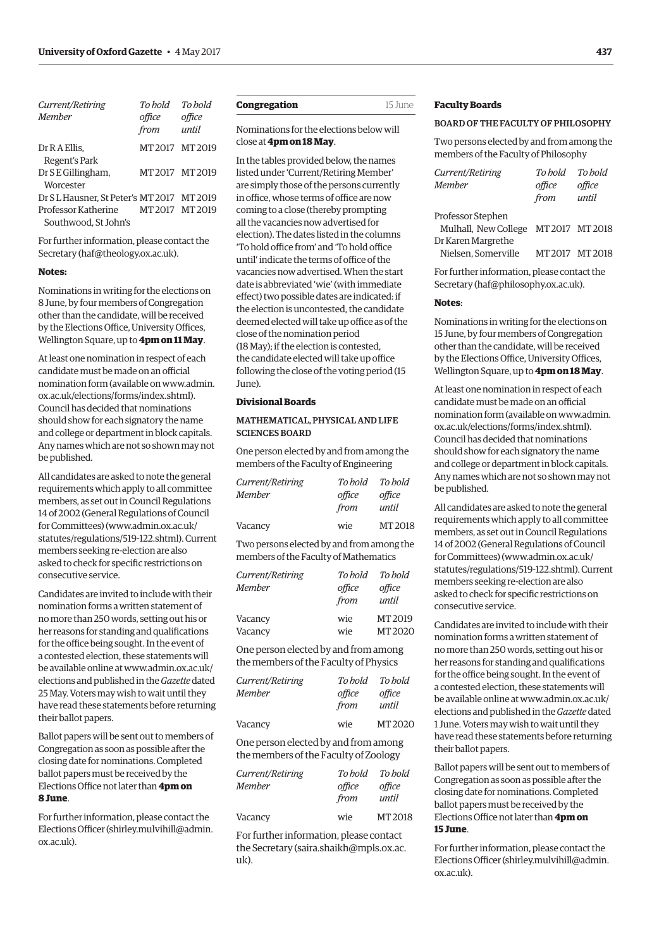<span id="page-12-0"></span>

| Current/Retiring<br><b>Member</b>         | To hold<br>office<br>from | To hold<br>office<br>until |
|-------------------------------------------|---------------------------|----------------------------|
| Dr R A Ellis,                             | MT2017 MT2019             |                            |
| Regent's Park                             |                           |                            |
| Dr S E Gillingham,                        | MT2017 MT2019             |                            |
| Worcester                                 |                           |                            |
| Dr SL Hausner, St Peter's MT 2017 MT 2019 |                           |                            |
| Professor Katherine                       | MT2017 MT2019             |                            |
| Southwood, St John's                      |                           |                            |

For further information, please contact the Secretary [\(haf@theology.ox.ac.uk\).](mailto:haf@theology.ox.ac.uk)

#### **Notes:**

Nominations in writing for the elections on 8 June, by four members of Congregation other than the candidate, will be received by the Elections Office, University Offices, Wellington Square, up to **4pm on 11 May**.

At least one nomination in respect of each candidate must be made on an official [nomination form \(available on www.admin.](www.admin.ox.ac.uk/elections/forms/index.shtml) ox.ac.uk/elections/forms/index.shtml). Council has decided that nominations should show for each signatory the name and college or department in block capitals. Any names which are not so shown may not be published.

All candidates are asked to note the general requirements which apply to all committee members, as set out in Council Regulations 14 of 2002 (General Regulations of Council for Committees) [\(www.admin.ox.ac.uk/](http://www.admin.ox.ac.uk/statutes/regulations/519-122.shtml) [statutes/regulations/519-122.shtml\). Cu](http://www.admin.ox.ac.uk/statutes/regulations/519-122.shtml)rrent members seeking re-election are also asked to check for specific restrictions on consecutive service.

Candidates are invited to include with their nomination forms a written statement of no more than 250 words, setting out his or her reasons for standing and qualifications for the office being sought. In the event of a contested election, these statements will [be available online at www.admin.ox.ac.uk/](www.admin.ox.ac.uk/elections) elections and published in the *Gazette* dated 25 May. Voters may wish to wait until they have read these statements before returning their ballot papers.

Ballot papers will be sent out to members of Congregation as soon as possible after the closing date for nominations. Completed ballot papers must be received by the Elections Office not later than **4pm on 8 June**.

For further information, please contact the Elections Officer [\(shirley.mulvihill@admin.](mailto:shirley.mulvihill@admin.ox.ac.uk) [ox.ac.uk\).](mailto:shirley.mulvihill@admin.ox.ac.uk) 

#### **Congregation** 15 June

Nominations for the elections below will close at **4pm on 18 May**.

In the tables provided below, the names listed under 'Current/Retiring Member' are simply those of the persons currently in office, whose terms of office are now coming to a close (thereby prompting all the vacancies now advertised for election). The dates listed in the columns 'To hold office from' and 'To hold office until' indicate the terms of office of the vacancies now advertised. When the start date is abbreviated 'wie' (with immediate effect) two possible dates are indicated: if the election is uncontested, the candidate deemed elected will take up office as of the close of the nomination period (18 May); if the election is contested, the candidate elected will take up office following the close of the voting period (15  $I$ <sub>11</sub> $n$  $\rho$ ).

#### **Divisional Boards**

#### MATHEMATICAL, PHYSICAL AND LIFE SCIENCES BOARD

One person elected by and from among the members of the Faculty of Engineering

| <i>Current/Retiring</i> |                | To hold To hold |
|-------------------------|----------------|-----------------|
| Member                  | office<br>from | office<br>until |
| Vacancy                 | wie            | MT 2018         |
|                         |                |                 |

Two persons elected by and from among the members of the Faculty of Mathematics

| Current/Retiring | To hold | To hold |
|------------------|---------|---------|
| Member           | office  | office  |
|                  | from    | until   |
| Vacancy          | wie     | MT 2019 |
| Vacancy          | wie     | MT 2020 |

One person elected by and from among the members of the Faculty of Physics

| Current/Retiring | To hold | To bold |
|------------------|---------|---------|
| Member           | office  | office  |
|                  | from    | until   |
| Vacancy          | wie     | MT 2020 |

One person elected by and from among the members of the Faculty of Zoology

| Current/Retiring | To hold | To hold |
|------------------|---------|---------|
| Member           | office  | office  |
|                  | from    | until   |
| Vacancy          | wie     | MT 2018 |

For further information, please contact the Secretary [\(saira.shaikh@mpls.ox.ac.](mailto:saira.shaikh@mpls.ox.ac.uk) [uk\).](mailto:saira.shaikh@mpls.ox.ac.uk)

#### **Faculty Boards**

#### BOARD OF THE FACULTY OF PHILOSOPHY

Two persons elected by and from among the members of the Faculty of Philosophy

| Current/Retiring                     | To hold | To hold       |
|--------------------------------------|---------|---------------|
| <b>Member</b>                        | office  | office        |
|                                      | from    | until         |
| Professor Stephen                    |         |               |
| Mulhall, New College MT 2017 MT 2018 |         |               |
| Dr Karen Margrethe                   |         |               |
| Nielsen. Somerville                  |         | MT2017 MT2018 |

For further information, please contact the Secretary ([haf@philosophy.ox.ac.uk\).](mailto:haf@philosophy.ox.ac.uk)

#### **Notes**:

Nominations in writing for the elections on 15 June, by four members of Congregation other than the candidate, will be received by the Elections Office, University Offices, Wellington Square, up to **4pm on 18 May**.

At least one nomination in respect of each candidate must be made on an official [nomination form \(available on www.admin.](www.admin.ox.ac.uk/elections/forms/index.shtml) ox.ac.uk/elections/forms/index.shtml). Council has decided that nominations should show for each signatory the name and college or department in block capitals. Any names which are not so shown may not be published.

All candidates are asked to note the general requirements which apply to all committee members, as set out in Council Regulations 14 of 2002 (General Regulations of Council for Committees) ([www.admin.ox.ac.uk/](http://www.admin.ox.ac.uk/statutes/regulations/519-122.shtml) [statutes/regulations/519-122.shtml\). Cu](http://www.admin.ox.ac.uk/statutes/regulations/519-122.shtml)rrent members seeking re-election are also asked to check for specific restrictions on consecutive service.

Candidates are invited to include with their nomination forms a written statement of no more than 250 words, setting out his or her reasons for standing and qualifications for the office being sought. In the event of a contested election, these statements will [be available online at www.admin.ox.ac.uk/](www.admin.ox.ac.uk/elections) elections and published in the *Gazette* dated 1 June. Voters may wish to wait until they have read these statements before returning their ballot papers.

Ballot papers will be sent out to members of Congregation as soon as possible after the closing date for nominations. Completed ballot papers must be received by the Elections Office not later than **4pm on 15 June**.

For further information, please contact the Elections Officer [\(shirley.mulvihill@admin.](mailto:shirley.mulvihill@admin.ox.ac.uk) [ox.ac.uk\).](mailto:shirley.mulvihill@admin.ox.ac.uk)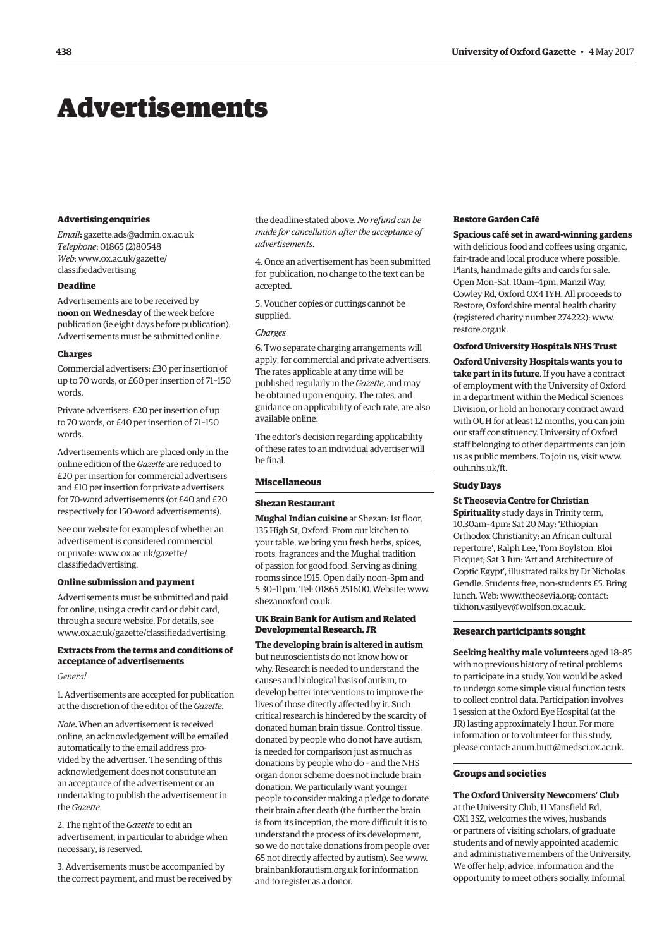## <span id="page-13-0"></span>Advertisements

#### **Advertising enquiries**

*Email***:** [gazette.ads@admin.ox.ac.uk](mailto:gazette.ads@admin.ox.ac.uk) *Telephone*: 01865 (2)80548 *Web*[: www.ox.ac.uk/gazette/](www.ox.ac.uk/gazette/classifiedadvertising) classifiedadvertising

#### **Deadline**

Advertisements are to be received by **noon on Wednesday** of the week before publication (ie eight days before publication). Advertisements must be submitted online.

#### **Charges**

Commercial advertisers: £30 per insertion of up to 70 words, or £60 per insertion of 71–150 words.

Private advertisers: £20 per insertion of up to 70 words, or £40 per insertion of 71–150 words.

Advertisements which are placed only in the online edition of the *Gazette* are reduced to £20 per insertion for commercial advertisers and £10 per insertion for private advertisers for 70-word advertisements (or £40 and £20 respectively for 150-word advertisements).

See our website for examples of whether an advertisement is considered commercial [or private: www.ox.ac.uk/gazette/](www.ox.ac.uk/gazette/classifiedadvertising) classifiedadvertising.

#### **Online submission and payment**

Advertisements must be submitted and paid for online, using a credit card or debit card, through a secure website. For details, see [www.ox.ac.uk/gazette/classifiedadvertising.](http://www.ox.ac.uk/gazette/classifiedadvertising)

#### **Extracts from the terms and conditions of acceptance of advertisements**

#### *General*

1. Advertisements are accepted for publication at the discretion of the editor of the *Gazette*.

*Note***.** When an advertisement is received online, an acknowledgement will be emailed automatically to the email address provided by the advertiser. The sending of this acknowledgement does not constitute an an acceptance of the advertisement or an undertaking to publish the advertisement in the *Gazette*.

2. The right of the *Gazette* to edit an advertisement, in particular to abridge when necessary, is reserved.

3. Advertisements must be accompanied by the correct payment, and must be received by the deadline stated above. *No refund can be made for cancellation after the acceptance of advertisements*.

4. Once an advertisement has been submitted for publication, no change to the text can be accepted.

5. Voucher copies or cuttings cannot be supplied.

#### *Charges*

6. Two separate charging arrangements will apply, for commercial and private advertisers. The rates applicable at any time will be published regularly in the *Gazette*, and may be obtained upon enquiry. The rates, and guidance on applicability of each rate, are also available online.

The editor's decision regarding applicability of these rates to an individual advertiser will be final.

#### **Miscellaneous**

#### **Shezan Restaurant**

**Mughal Indian cuisine** at Shezan: 1st floor, 135 High St, Oxford. From our kitchen to your table, we bring you fresh herbs, spices, roots, fragrances and the Mughal tradition of passion for good food. Serving as dining rooms since 1915. Open daily noon–3pm and 5.30–11pm. Tel: 01865 251600. Website: [www.](http://www.shezanoxford.co.uk) [shezanoxford.co.uk.](http://www.shezanoxford.co.uk)

#### **UK Brain Bank for Autism and Related Developmental Research, JR**

**The developing brain is altered in autism** but neuroscientists do not know how or why. Research is needed to understand the causes and biological basis of autism, to develop better interventions to improve the lives of those directly affected by it. Such critical research is hindered by the scarcity of donated human brain tissue. Control tissue, donated by people who do not have autism, is needed for comparison just as much as donations by people who do – and the NHS organ donor scheme does not include brain donation. We particularly want younger people to consider making a pledge to donate their brain after death (the further the brain is from its inception, the more difficult it is to understand the process of its development, so we do not take donations from people over 65 not directly affected by autism). See [www.](http://www.brainbankforautism.org.uk) [brainbankforautism.org.uk for](http://www.brainbankforautism.org.uk) information and to register as a donor.

#### **Restore Garden Café**

**Spacious café set in award-winning gardens**

with delicious food and coffees using organic, fair-trade and local produce where possible. Plants, handmade gifts and cards for sale. Open Mon–Sat, 10am–4pm, Manzil Way, Cowley Rd, Oxford OX4 1YH. All proceeds to Restore, Oxfordshire mental health charity (registered charity number 274222): [www.](http://www.restore.org.uk) [restore.org.uk.](http://www.restore.org.uk)

#### **Oxford University Hospitals NHS Trust**

**Oxford University Hospitals wants you to take part in its future**. If you have a contract of employment with the University of Oxford in a department within the Medical Sciences Division, or hold an honorary contract award with OUH for at least 12 months, you can join our staff constituency. University of Oxford staff belonging to other departments can join us as public members. To join us, visit [www.](http://www.ouh.nhs.uk/ft) [ouh.nhs.uk/ft.](http://www.ouh.nhs.uk/ft)

#### **Study Days**

#### **St Theosevia Centre for Christian**

**Spirituality** study days in Trinity term, 10.30am–4pm: Sat 20 May: 'Ethiopian Orthodox Christianity: an African cultural repertoire', Ralph Lee, Tom Boylston, Eloi Ficquet; Sat 3 Jun: 'Art and Architecture of Coptic Egypt', illustrated talks by Dr Nicholas Gendle. Students free, non-students £5. Bring lunch. Web: [www.theosevia.org; co](http://www.theosevia.org)ntact: [tikhon.vasilyev@wolfson.ox.ac.uk.](mailto:tikhon.vasilyev@wolfson.ox.ac.uk)

#### **Research participants sought**

**Seeking healthy male volunteers** aged 18–85 with no previous history of retinal problems to participate in a study. You would be asked to undergo some simple visual function tests to collect control data. Participation involves 1 session at the Oxford Eye Hospital (at the JR) lasting approximately 1 hour. For more information or to volunteer for this study, please contact: [anum.butt@medsci.ox.ac.uk.](mailto:anum.butt@medsci.ox.ac.uk)

#### **Groups and societies**

**The Oxford University Newcomers' Club** at the University Club, 11 Mansfield Rd, OX1 3SZ, welcomes the wives, husbands or partners of visiting scholars, of graduate students and of newly appointed academic and administrative members of the University. We offer help, advice, information and the opportunity to meet others socially. Informal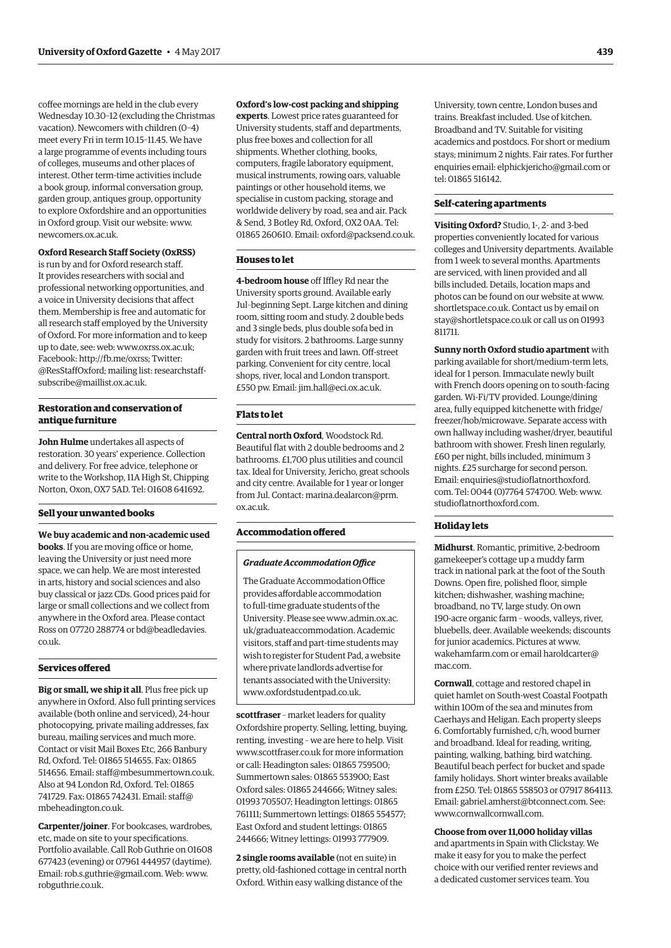coffee mornings are held in the club every Wednesday 10.30–12 (excluding the Christmas vacation). Newcomers with children (0–4) meet every Fri in term 10.15–11.45. We have a large programme of events including tours of colleges, museums and other places of interest. Other term-time activities include a book group, informal conversation group, garden group, antiques group, opportunity to explore Oxfordshire and an opportunities in Oxford group. Visit our website: [www.](http://www.newcomers.ox.ac.uk) [newcomers.ox.ac.uk.](http://www.newcomers.ox.ac.uk)

#### **Oxford Research Staff Society (OxRSS)**

is run by and for Oxford research staff. It provides researchers with social and professional networking opportunities, and a voice in University decisions that affect them. Membership is free and automatic for all research staff employed by the University of Oxford. For more information and to keep up to date, see: web: [www.oxrss.ox.ac.uk;](http://www.oxrss.ox.ac.uk)  Facebook: [http://fb.me/oxrss; Tw](http://fb.me/oxrss)itter: [@ResStaffOxford;](https://twitter.com/resstaffoxford) mailing li[st: researchstaff](mailto:researchstaff-subscribe@maillist.ox.ac.uk)[subscribe@maillist.ox.ac.uk.](mailto:researchstaff-subscribe@maillist.ox.ac.uk)

#### **Restoration and conservation of antique furniture**

**John Hulme** undertakes all aspects of restoration. 30 years' experience. Collection and delivery. For free advice, telephone or write to the Workshop, 11A High St, Chipping Norton, Oxon, OX7 5AD. Tel: 01608 641692.

#### **Sell your unwanted books**

#### **We buy academic and non-academic used**

**books**. If you are moving office or home, leaving the University or just need more space, we can help. We are most interested in arts, history and social sciences and also buy classical or jazz CDs. Good prices paid for large or small collections and we collect from anywhere in the Oxford area. Please contact [Ross on 07720 288774 or bd@beadledavies.](mailto:bd@beadledavies.co.uk) co.uk.

#### **Services offered**

**Big or small, we ship it all**. Plus free pick up anywhere in Oxford. Also full printing services available (both online and serviced), 24-hour photocopying, private mailing addresses, fax bureau, mailing services and much more. Contact or visit Mail Boxes Etc, 266 Banbury Rd, Oxford. Tel: 01865 514655. Fax: 01865 514656. Email: [staff@mbesummertown.co.uk.](mailto:staff@mbesummertown.co.uk)  Also at 94 London Rd, Oxford. Tel: 01865 [741729. Fax: 01865 742431. Email: staff@](mailto:staff@mbeheadington.co.uk) mbeheadington.co.uk.

**Carpenter/joiner**. For bookcases, wardrobes, etc, made on site to your specifications. Portfolio available. Call Rob Guthrie on 01608 677423 (evening) or 07961 444957 (daytime). Email: [rob.s.guthrie@gmail.com. W](mailto:rob.s.guthrie@gmail.com)eb: [www.](http://www.robguthrie.co.uk) [robguthrie.co.uk.](http://www.robguthrie.co.uk)

#### **Oxford's low-cost packing and shipping**

**experts**. Lowest price rates guaranteed for University students, staff and departments, plus free boxes and collection for all shipments. Whether clothing, books, computers, fragile laboratory equipment, musical instruments, rowing oars, valuable paintings or other household items, we specialise in custom packing, storage and worldwide delivery by road, sea and air. Pack & Send, 3 Botley Rd, Oxford, OX2 0AA. Tel: 01865 260610. Email: [oxford@packsend.co.uk.](mailto:oxford@packsend.co.uk)

#### **Houses to let**

**4-bedroom house** off Iffley Rd near the University sports ground. Available early Jul–beginning Sept. Large kitchen and dining room, sitting room and study. 2 double beds and 3 single beds, plus double sofa bed in study for visitors. 2 bathrooms. Large sunny garden with fruit trees and lawn. Off-street parking. Convenient for city centre, local shops, river, local and London transport. £550 pw. Email: [jim.hall@eci.ox.ac.uk.](mailto:jim.hall@eci.ox.ac.uk)

#### **Flats to let**

**Central north Oxford**, Woodstock Rd. Beautiful flat with 2 double bedrooms and 2 bathrooms. £1,700 plus utilities and council tax. Ideal for University, Jericho, great schools and city centre. Available for 1 year or longer [from Jul. Contact: marina.dealarcon@prm.](mailto:marina.deararcon@prm.ox.ac.uk) ox.ac.uk.

#### **Accommodation offered**

#### *Graduate Accommodation Office*

The Graduate Accommodation Office provides affordable accommodation to full-time graduate students of the [University. Please see www.admin.ox.ac.](www.admin.ox.ac.uk/graduateaccommodation) uk/graduateaccommodation. Academic visitors, staff and part-time students may wish to register for Student Pad, a website where private landlords advertise for tenants associated with the University: [www.oxfordstudentpad.co.uk.](http://www.oxfordstudentpad.co.uk)

**scottfraser** – market leaders for quality Oxfordshire property. Selling, letting, buying, renting, investing – we are here to help. Visit [www.scottfraser.co.uk fo](http://www.scottfraser.co.uk)r more information or call: Headington sales: 01865 759500; Summertown sales: 01865 553900; East Oxford sales: 01865 244666; Witney sales: 01993 705507; Headington lettings: 01865 761111; Summertown lettings: 01865 554577; East Oxford and student lettings: 01865 244666; Witney lettings: 01993 777909.

**2 single rooms available** (not en suite) in pretty, old-fashioned cottage in central north Oxford. Within easy walking distance of the

University, town centre, London buses and trains. Breakfast included. Use of kitchen. Broadband and TV. Suitable for visiting academics and postdocs. For short or medium stays; minimum 2 nights. Fair rates. For further enquiries email: [elphickjericho@gmail.com or](mailto:elphickjericho@gmail.com) tel: 01865 516142.

#### **Self-catering apartments**

**Visiting Oxford?** Studio, 1-, 2- and 3-bed properties conveniently located for various colleges and University departments. Available from 1 week to several months. Apartments are serviced, with linen provided and all bills included. Details, location maps and photos can be found on our website at [www.](http://www.shortletspace.co.uk) [shortletspace.co.uk. Co](http://www.shortletspace.co.uk)ntact us by email on [stay@shortletspace.co.uk or](mailto:stay@shortletspace.co.uk) call us on 01993 811711.

**Sunny north Oxford studio apartment** with parking available for short/medium-term lets, ideal for 1 person. Immaculate newly built with French doors opening on to south-facing garden. Wi-Fi/TV provided. Lounge/dining area, fully equipped kitchenette with fridge/ freezer/hob/microwave. Separate access with own hallway including washer/dryer, beautiful bathroom with shower. Fresh linen regularly, £60 per night, bills included, minimum 3 nights. £25 surcharge for second person. E[mail: enquiries@studioflatnorthoxford.](mailto:enquiries@studioflatnorthoxford.com) com. Tel: 0044 (0)7764 574700. Web: [www.](http://www.studioflatnorthoxford.com) [studioflatnorthoxford.com.](http://www.studioflatnorthoxford.com)

#### **Holiday lets**

**Midhurst**. Romantic, primitive, 2-bedroom gamekeeper's cottage up a muddy farm track in national park at the foot of the South Downs. Open fire, polished floor, simple kitchen; dishwasher, washing machine; broadband, no TV, large study. On own 190-acre organic farm – woods, valleys, river, bluebells, deer. Available weekends; discounts for junior academics. Pictures at [www.](http://www.wakehamfarm.com) [wakehamfarm.com or](http://www.wakehamfarm.com) em[ail haroldcarter@](mailto:haroldcarter@mac.com) mac.com.

**Cornwall**, cottage and restored chapel in quiet hamlet on South-west Coastal Footpath within 100m of the sea and minutes from Caerhays and Heligan. Each property sleeps 6. Comfortably furnished, c/h, wood burner and broadband. Ideal for reading, writing, painting, walking, bathing, bird watching. Beautiful beach perfect for bucket and spade family holidays. Short winter breaks available from £250. Tel: 01865 558503 or 07917 864113. Email: [gabriel.amherst@btconnect.com. Se](mailto:gabriel.amherst@btconnect.com)e: [www.cornwallcornwall.com.](http://www.cornwallcornwall.com)

**Choose from over 11,000 holiday villas** and apartments in Spain with Clickstay. We make it easy for you to make the perfect choice with our verified renter reviews and a dedicated customer services team. You